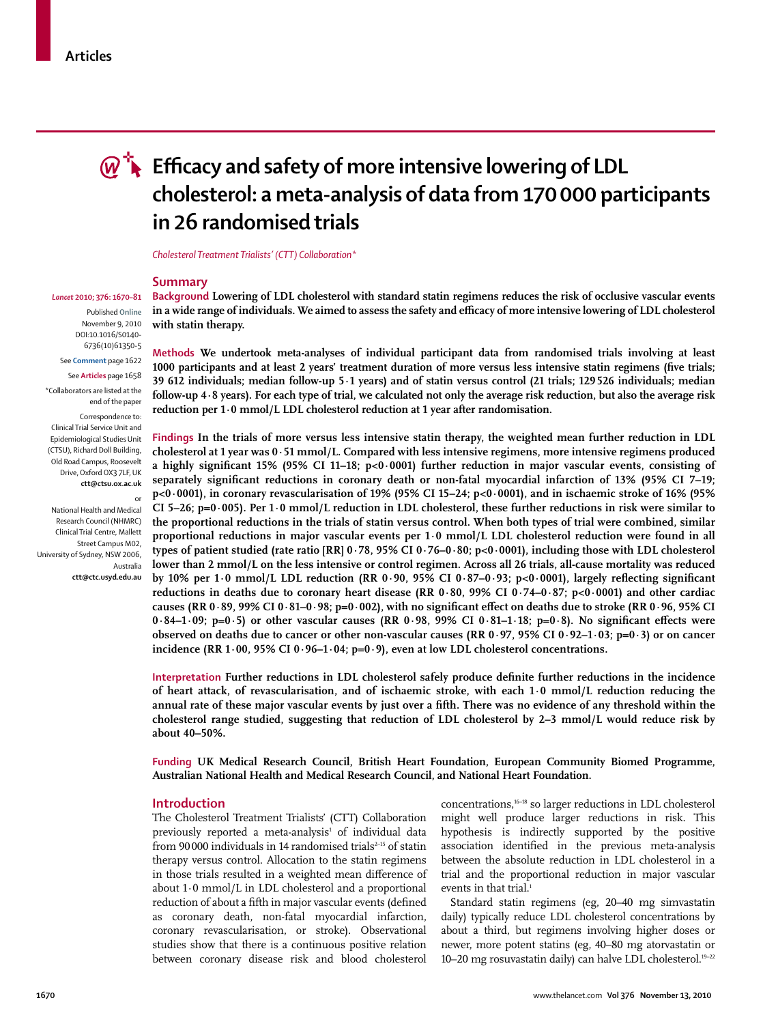

## $\mathbb{R}^n$  **Efficacy and safety of more intensive lowering of LDL cholesterol: a meta-analysis of data from 170 000 participants in 26 randomised trials**

#### **Summary**

*Lancet* **2010; 376: 1670–81** Published **Online** November 9, 2010

DOI:10.1016/S0140- 6736(10)61350-5 See **Comment** page 1622

See **Articles** page 1658 \*Collaborators are listed at the

end of the paper Correspondence to:

Clinical Trial Service Unit and Epidemiological Studies Unit (CTSU), Richard Doll Building, Old Road Campus, Roosevelt Drive, Oxford OX3 7LF, LIK **ctt@ctsu.ox.ac.uk**

or

National Health and Medical Research Council (NHMRC) Clinical Trial Centre, Mallett Street Campus M02, University of Sydney, NSW 2006, Australia **ctt@ctc.usyd.edu.au**

# *Cholesterol Treatment Trialists' (CTT) Collaboration\**

**Background Lowering of LDL cholesterol with standard statin regimens reduces the risk of occlusive vascular events**  in a wide range of individuals. We aimed to assess the safety and efficacy of more intensive lowering of LDL cholesterol **with statin therapy.**

**Methods We undertook meta-analyses of individual participant data from randomised trials involving at least**  1000 participants and at least 2 years' treatment duration of more versus less intensive statin regimens (five trials; **39 612 individuals; median follow-up 5·1 years) and of statin versus control (21 trials; 129 526 individuals; median follow-up 4·8 years). For each type of trial, we calculated not only the average risk reduction, but also the average risk reduction per 1·0 mmol/L LDL cholesterol reduction at 1 year after randomisation.**

**Findings In the trials of more versus less intensive statin therapy, the weighted mean further reduction in LDL cholesterol at 1 year was 0·51 mmol/L. Compared with less intensive regimens, more intensive regimens produced** a highly significant 15% (95% CI 11-18; p<0·0001) further reduction in major vascular events, consisting of separately significant reductions in coronary death or non-fatal myocardial infarction of 13% (95% CI 7–19; **p<0·0001), in coronary revascularisation of 19% (95% CI 15–24; p<0·0001), and in ischaemic stroke of 16% (95% CI 5–26; p=0·005). Per 1·0 mmol/L reduction in LDL cholesterol, these further reductions in risk were similar to the proportional reductions in the trials of statin versus control. When both types of trial were combined, similar proportional reductions in major vascular events per 1·0 mmol/L LDL cholesterol reduction were found in all types of patient studied (rate ratio [RR] 0·78, 95% CI 0·76–0·80; p<0·0001), including those with LDL cholesterol lower than 2 mmol/L on the less intensive or control regimen. Across all 26 trials, all-cause mortality was reduced by 10% per 1·0 mmol/L LDL reduction (RR 0·90, 95% CI 0·87-0·93; p<0·0001), largely reflecting significant reductions in deaths due to coronary heart disease (RR 0·80, 99% CI 0·74–0·87; p<0·0001) and other cardiac**  causes (RR  $0.89$ , 99% CI  $0.81 - 0.98$ ; p=0 $.002$ ), with no significant effect on deaths due to stroke (RR  $0.96$ , 95% CI 0·84–1·09; p=0·5) or other vascular causes (RR 0·98, 99% CI 0·81–1·18; p=0·8). No significant effects were **observed on deaths due to cancer or other non-vascular causes (RR 0·97, 95% CI 0·92–1·03; p=0·3) or on cancer incidence (RR 1·00, 95% CI 0·96–1·04; p=0·9), even at low LDL cholesterol concentrations.**

Interpretation Further reductions in LDL cholesterol safely produce definite further reductions in the incidence **of heart attack, of revascularisation, and of ischaemic stroke, with each 1·0 mmol/L reduction reducing the** annual rate of these major vascular events by just over a fifth. There was no evidence of any threshold within the **cholesterol range studied, suggesting that reduction of LDL cholesterol by 2–3 mmol/L would reduce risk by about 40–50%.**

**Funding UK Medical Research Council, British Heart Foundation, European Community Biomed Programme, Australian National Health and Medical Research Council, and National Heart Foundation.**

#### **Introduction**

The Cholesterol Treatment Trialists' (CTT) Collaboration previously reported a meta-analysis1 of individual data from 90 000 individuals in 14 randomised trials<sup> $2-15$ </sup> of statin therapy versus control. Allocation to the statin regimens in those trials resulted in a weighted mean difference of about 1·0 mmol/L in LDL cholesterol and a proportional reduction of about a fifth in major vascular events (defined as coronary death, non-fatal myocardial infarction, coronary revascularisation, or stroke). Observational studies show that there is a continuous positive relation between coronary disease risk and blood cholesterol

concentrations,<sup>16–18</sup> so larger reductions in LDL cholesterol might well produce larger reductions in risk. This hypothesis is indirectly supported by the positive association identified in the previous meta-analysis between the absolute reduction in LDL cholesterol in a trial and the proportional reduction in major vascular events in that trial.<sup>1</sup>

Standard statin regimens (eg, 20–40 mg simvastatin daily) typically reduce LDL cholesterol concentrations by about a third, but regimens involving higher doses or newer, more potent statins (eg, 40–80 mg atorvastatin or 10–20 mg rosuvastatin daily) can halve LDL cholesterol.19–22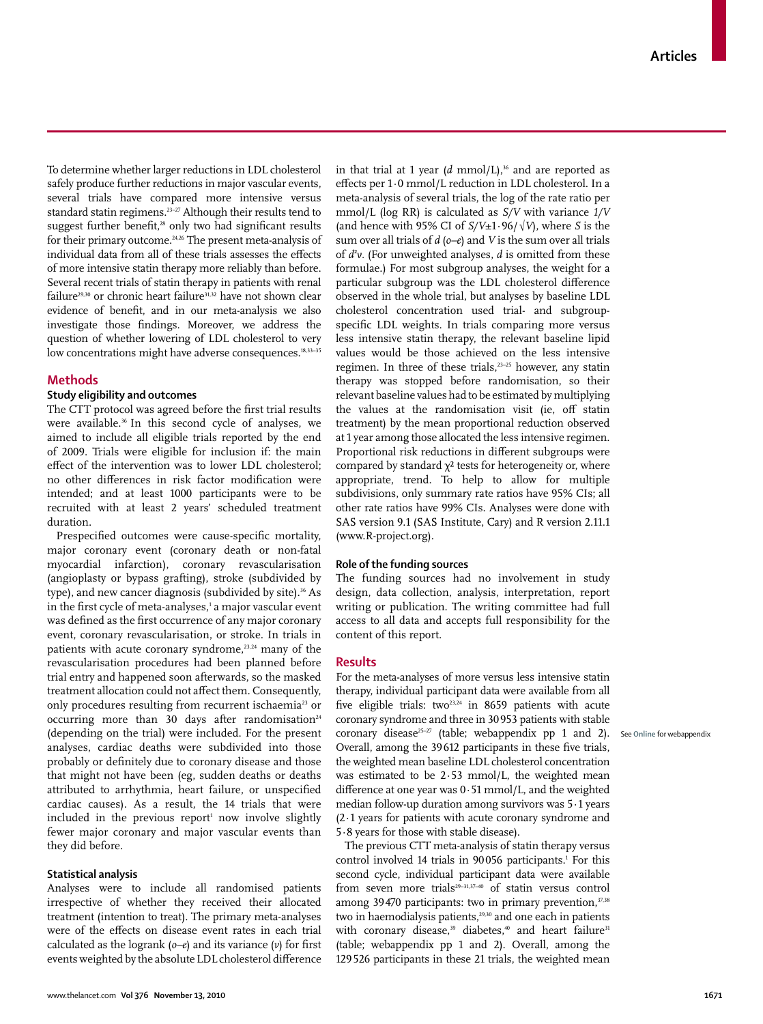To determine whether larger reductions in LDL cholesterol safely produce further reductions in major vascular events, several trials have compared more intensive versus standard statin regimens.<sup>23-27</sup> Although their results tend to suggest further benefit,<sup>28</sup> only two had significant results for their primary outcome.24,26 The present meta-analysis of individual data from all of these trials assesses the effects of more intensive statin therapy more reliably than before. Several recent trials of statin therapy in patients with renal failure<sup>29,30</sup> or chronic heart failure<sup>31,32</sup> have not shown clear evidence of benefit, and in our meta-analysis we also investigate those findings. Moreover, we address the question of whether lowering of LDL cholesterol to very low concentrations might have adverse consequences.<sup>18,33–35</sup>

### **Methods**

#### **Study eligibility and outcomes**

The CTT protocol was agreed before the first trial results were available.<sup>36</sup> In this second cycle of analyses, we aimed to include all eligible trials reported by the end of 2009. Trials were eligible for inclusion if: the main effect of the intervention was to lower LDL cholesterol; no other differences in risk factor modification were intended; and at least 1000 participants were to be recruited with at least 2 years' scheduled treatment duration.

Prespecified outcomes were cause-specific mortality, major coronary event (coronary death or non-fatal myocardial infarction), coronary revascularisation (angioplasty or bypass grafting), stroke (subdivided by type), and new cancer diagnosis (subdivided by site).<sup>36</sup> As in the first cycle of meta-analyses,' a major vascular event was defined as the first occurrence of any major coronary event, coronary revascularisation, or stroke. In trials in patients with acute coronary syndrome, $23,24$  many of the revascularisation procedures had been planned before trial entry and happened soon afterwards, so the masked treatment allocation could not affect them. Consequently, only procedures resulting from recurrent ischaemia<sup>23</sup> or occurring more than 30 days after randomisation<sup>24</sup> (depending on the trial) were included. For the present analyses, cardiac deaths were subdivided into those probably or definitely due to coronary disease and those that might not have been (eg, sudden deaths or deaths attributed to arrhythmia, heart failure, or unspecified cardiac causes). As a result, the 14 trials that were included in the previous report<sup>1</sup> now involve slightly fewer major coronary and major vascular events than they did before.

#### **Statistical analysis**

Analyses were to include all randomised patients irrespective of whether they received their allocated treatment (intention to treat). The primary meta-analyses were of the effects on disease event rates in each trial calculated as the logrank  $(o-e)$  and its variance  $(v)$  for first events weighted by the absolute LDL cholesterol difference in that trial at 1 year  $(d \text{ mmol/L})$ ,<sup>36</sup> and are reported as effects per 1·0 mmol/L reduction in LDL cholesterol. In a meta-analysis of several trials, the log of the rate ratio per mmol/L (log RR) is calculated as *S/V* with variance *1/V* (and hence with 95% CI of *S/V±*1·96/*√V*), where *S* is the sum over all trials of *d* (*o–e*) and *V* is the sum over all trials of *d*²*v*. (For unweighted analyses, *d* is omitted from these formulae.) For most subgroup analyses, the weight for a particular subgroup was the LDL cholesterol difference observed in the whole trial, but analyses by baseline LDL cholesterol concentration used trial- and subgroupspecific LDL weights. In trials comparing more versus less intensive statin therapy, the relevant baseline lipid values would be those achieved on the less intensive regimen. In three of these trials,23–25 however, any statin therapy was stopped before randomisation, so their relevant baseline values had to be estimated by multiplying the values at the randomisation visit (ie, off statin treatment) by the mean proportional reduction observed at 1 year among those allocated the less intensive regimen. Proportional risk reductions in different subgroups were compared by standard  $\chi^2$  tests for heterogeneity or, where appropriate, trend. To help to allow for multiple subdivisions, only summary rate ratios have 95% CIs; all other rate ratios have 99% CIs. Analyses were done with SAS version 9.1 (SAS Institute, Cary) and R version 2.11.1 (www.R-project.org).

#### **Role of the funding sources**

The funding sources had no involvement in study design, data collection, analysis, interpretation, report writing or publication. The writing committee had full access to all data and accepts full responsibility for the content of this report.

#### **Results**

For the meta-analyses of more versus less intensive statin therapy, individual participant data were available from all five eligible trials: two<sup>23,24</sup> in 8659 patients with acute coronary syndrome and three in 30 953 patients with stable coronary disease<sup>25-27</sup> (table; webappendix pp 1 and 2). See Online for webappendix Overall, among the 39612 participants in these five trials, the weighted mean baseline LDL cholesterol concentration was estimated to be 2·53 mmol/L, the weighted mean difference at one year was  $0.51$  mmol/L, and the weighted median follow-up duration among survivors was 5·1 years (2·1 years for patients with acute coronary syndrome and 5·8 years for those with stable disease).

The previous CTT meta-analysis of statin therapy versus control involved 14 trials in 90056 participants.<sup>1</sup> For this second cycle, individual participant data were available from seven more trials $29-31,37-40$  of statin versus control among 39470 participants: two in primary prevention, 37,38 two in haemodialysis patients,<sup>29,30</sup> and one each in patients with coronary disease,<sup>39</sup> diabetes,<sup>40</sup> and heart failure<sup>31</sup> (table; webappendix pp 1 and 2). Overall, among the 129 526 participants in these 21 trials, the weighted mean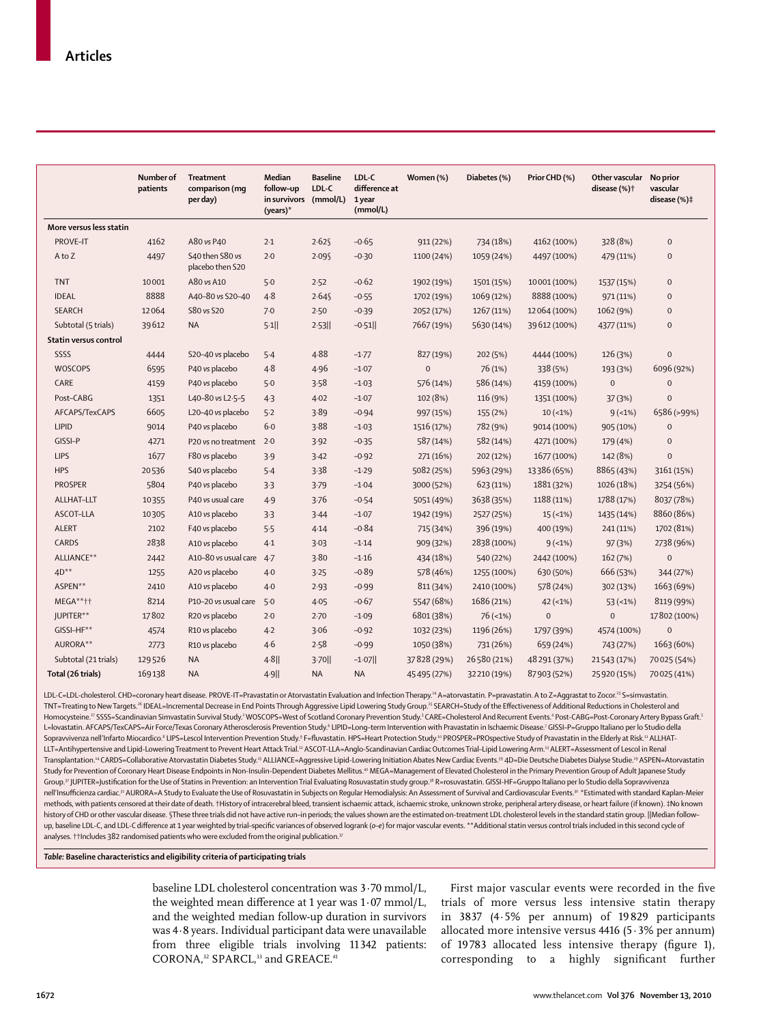|                         | Number of<br>patients | <b>Treatment</b><br>comparison (mq<br>per day) | Median<br>follow-up<br>in survivors (mmol/L)<br>(years) $*$ | <b>Baseline</b><br>LDL-C | LDL-C<br>difference at<br>1 year<br>(mmol/L) | Women (%)   | Diabetes (%) | Prior CHD (%) | Other vascular<br>disease (%) <sup>+</sup> | No prior<br>vascular<br>disease (%)‡ |
|-------------------------|-----------------------|------------------------------------------------|-------------------------------------------------------------|--------------------------|----------------------------------------------|-------------|--------------|---------------|--------------------------------------------|--------------------------------------|
| More versus less statin |                       |                                                |                                                             |                          |                                              |             |              |               |                                            |                                      |
| PROVE-IT                | 4162                  | A80 vs P40                                     | 2.1                                                         | 2.62                     | $-0.65$                                      | 911 (22%)   | 734 (18%)    | 4162 (100%)   | 328 (8%)                                   | $\pmb{0}$                            |
| A to Z                  | 4497                  | S40 then S80 vs<br>placebo then S20            | 2.0                                                         | 2.09                     | $-0.30$                                      | 1100 (24%)  | 1059 (24%)   | 4497 (100%)   | 479 (11%)                                  | $\pmb{0}$                            |
| <b>TNT</b>              | 10001                 | A80 vs A10                                     | 5.0                                                         | 2.52                     | $-0.62$                                      | 1902 (19%)  | 1501 (15%)   | 10001 (100%)  | 1537 (15%)                                 | $\mathbf 0$                          |
| <b>IDEAL</b>            | 8888                  | A40-80 vs S20-40                               | $4 - 8$                                                     | 2.64                     | $-0.55$                                      | 1702 (19%)  | 1069 (12%)   | 8888 (100%)   | 971 (11%)                                  | $\pmb{0}$                            |
| <b>SEARCH</b>           | 12064                 | S80 vs S20                                     | 7.0                                                         | 2.50                     | $-0.39$                                      | 2052 (17%)  | 1267 (11%)   | 12064 (100%)  | 1062 (9%)                                  | $\pmb{0}$                            |
| Subtotal (5 trials)     | 39612                 | <b>NA</b>                                      | 5.1                                                         | 2.53                     | $-0.51$                                      | 7667 (19%)  | 5630 (14%)   | 39 612 (100%) | 4377 (11%)                                 | $\pmb{0}$                            |
| Statin versus control   |                       |                                                |                                                             |                          |                                              |             |              |               |                                            |                                      |
| SSSS                    | 4444                  | S20-40 vs placebo                              | 5.4                                                         | 4.88                     | $-1.77$                                      | 827 (19%)   | 202 (5%)     | 4444 (100%)   | 126 (3%)                                   | $\pmb{0}$                            |
| <b>WOSCOPS</b>          | 6595                  | P40 vs placebo                                 | $4 - 8$                                                     | 4.96                     | $-1.07$                                      | $\mathbf 0$ | 76 (1%)      | 338 (5%)      | 193 (3%)                                   | 6096 (92%)                           |
| CARE                    | 4159                  | P40 vs placebo                                 | 5.0                                                         | 3.58                     | $-1.03$                                      | 576 (14%)   | 586 (14%)    | 4159 (100%)   | $\pmb{0}$                                  | $\mathbf 0$                          |
| Post-CABG               | 1351                  | L40-80 vs L2-5-5                               | $4-3$                                                       | 4.02                     | $-1.07$                                      | 102 (8%)    | 116 (9%)     | 1351 (100%)   | 37(3%)                                     | $\mathbf 0$                          |
| AFCAPS/TexCAPS          | 6605                  | L20-40 vs placebo                              | 5.2                                                         | 3.89                     | $-0.94$                                      | 997 (15%)   | 155 (2%)     | $10 (-1%)$    | $9(-1%)$                                   | 6586 (>99%)                          |
| <b>LIPID</b>            | 9014                  | P40 vs placebo                                 | $6-0$                                                       | 3.88                     | $-1.03$                                      | 1516 (17%)  | 782 (9%)     | 9014 (100%)   | 905 (10%)                                  | $\pmb{0}$                            |
| GISSI-P                 | 4271                  | P20 vs no treatment                            | 2.0                                                         | 3.92                     | $-0.35$                                      | 587 (14%)   | 582 (14%)    | 4271 (100%)   | 179 (4%)                                   | $\pmb{0}$                            |
| <b>LIPS</b>             | 1677                  | F80 vs placebo                                 | 3.9                                                         | 3.42                     | $-0.92$                                      | 271 (16%)   | 202 (12%)    | 1677 (100%)   | 142 (8%)                                   | $\mathbf 0$                          |
| <b>HPS</b>              | 20536                 | S40 vs placebo                                 | 5.4                                                         | 3.38                     | $-1.29$                                      | 5082 (25%)  | 5963 (29%)   | 13386 (65%)   | 8865 (43%)                                 | 3161 (15%)                           |
| <b>PROSPER</b>          | 5804                  | P40 vs placebo                                 | 3.3                                                         | 3.79                     | $-1.04$                                      | 3000 (52%)  | 623 (11%)    | 1881 (32%)    | 1026 (18%)                                 | 3254 (56%)                           |
| ALLHAT-LLT              | 10355                 | P40 vs usual care                              | 4.9                                                         | 3.76                     | $-0.54$                                      | 5051 (49%)  | 3638 (35%)   | 1188 (11%)    | 1788 (17%)                                 | 8037 (78%)                           |
| ASCOT-LLA               | 10305                 | A10 vs placebo                                 | 3.3                                                         | 3.44                     | $-1.07$                                      | 1942 (19%)  | 2527 (25%)   | $15 (-1%)$    | 1435 (14%)                                 | 8860 (86%)                           |
| <b>ALERT</b>            | 2102                  | F40 vs placebo                                 | 5.5                                                         | 4.14                     | $-0.84$                                      | 715 (34%)   | 396 (19%)    | 400 (19%)     | 241 (11%)                                  | 1702 (81%)                           |
| CARDS                   | 2838                  | A10 vs placebo                                 | $4-1$                                                       | 3.03                     | $-1.14$                                      | 909 (32%)   | 2838 (100%)  | $9(-1%)$      | 97 (3%)                                    | 2738 (96%)                           |
| ALLIANCE**              | 2442                  | A10-80 vs usual care                           | 4.7                                                         | 3.80                     | $-1.16$                                      | 434 (18%)   | 540 (22%)    | 2442 (100%)   | 162 (7%)                                   | $\mathbf 0$                          |
| $4D**$                  | 1255                  | A20 vs placebo                                 | $4-0$                                                       | 3.25                     | $-0.89$                                      | 578 (46%)   | 1255 (100%)  | 630 (50%)     | 666 (53%)                                  | 344 (27%)                            |
| ASPEN**                 | 2410                  | A10 vs placebo                                 | $4-0$                                                       | 2.93                     | $-0.99$                                      | 811 (34%)   | 2410 (100%)  | 578 (24%)     | 302 (13%)                                  | 1663 (69%)                           |
| MEGA**††                | 8214                  | P10-20 vs usual care                           | 5.0                                                         | 4.05                     | $-0.67$                                      | 5547 (68%)  | 1686 (21%)   | $42 (-1%)$    | $53 (-1%)$                                 | 8119 (99%)                           |
| JUPITER**               | 17802                 | R20 vs placebo                                 | 2.0                                                         | 2.70                     | $-1.09$                                      | 6801 (38%)  | $76$ (<1%)   | $\mathbf 0$   | $\bf 0$                                    | 17802 (100%)                         |
| GISSI-HF**              | 4574                  | R10 vs placebo                                 | $4-2$                                                       | 3.06                     | $-0.92$                                      | 1032 (23%)  | 1196 (26%)   | 1797 (39%)    | 4574 (100%)                                | $\mathbf 0$                          |
| AURORA**                | 2773                  | R10 vs placebo                                 | 4·6                                                         | 2.58                     | $-0.99$                                      | 1050 (38%)  | 731 (26%)    | 659 (24%)     | 743 (27%)                                  | 1663 (60%)                           |
| Subtotal (21 trials)    | 129526                | <b>NA</b>                                      | $4.8$                                                       | $3.70$                   | $-1.07$                                      | 37828 (29%) | 26580 (21%)  | 48 291 (37%)  | 21543 (17%)                                | 70 025 (54%)                         |
| Total (26 trials)       | 169138                | <b>NA</b>                                      | 4.9                                                         | <b>NA</b>                | <b>NA</b>                                    | 45495 (27%) | 32 210 (19%) | 87903 (52%)   | 25920 (15%)                                | 70025 (41%)                          |

LDL-C=LDL-cholesterol. CHD=coronary heart disease. PROVE-IT=Pravastatin or Atorvastatin Evaluation and Infection Therapy.<sup>34</sup> A=atorvastatin. P=pravastatin. A to Z=Aqqrastat to Zocor.<sup>23</sup> S=simvastatin. TNT=Treating to New Targets.<sup>26</sup> IDEAL=Incremental Decrease in End Points Through Aggressive Lipid Lowering Study Group.<sup>25</sup> SEARCH=Study of the Effectiveness of Additional Reductions in Cholesterol and Homocysteine." SSSS=Scandinavian Simvastatin Survival Study.<sup>,</sup> WOSCOPS=West of Scotland Coronary Prevention Study.<sup>3</sup> CARE=Cholesterol And Recurrent Events.4 Post-CABG=Post-Coronary Artery Bypass Graft. L=lovastatin. AFCAPS/TexCAPS=Air Force/Texas Coronary Atherosclerosis Prevention Study.<sup>6</sup> LIPID=Long-term Intervention with Pravastatin in Ischaemic Disease.<sup>7</sup> GISSI–P=Gruppo Italiano per lo Studio della Sopravvivenza nell'Infarto Miocardico.® LIPS=Lescol Intervention Prevention Study.® F=fluvastatin. HPS=Heart Protection Study.® PROSPER=PROspective Study of Pravastatin in the Elderly at Risk.™ ALLHAT-LLT=Antihypertensive and Lipid-Lowering Treatment to Prevent Heart Attack Trial.12 ASCOT-LLA=Anglo-Scandinavian Cardiac Outcomes Trial–Lipid Lowering Arm.13 ALERT=Assessment of Lescol in Renal Transplantation.<sup>14</sup> CARDS=Collaborative Atorvastatin Diabetes Study.<sup>15</sup> ALLIANCE=Aggressive Lipid-Lowering Initiation Abates New Cardiac Events.<sup>39</sup> 4D=Die Deutsche Diabetes Dialyse Studie.<sup>39</sup> ASPEN=Atorvastatin Study for Prevention of Coronary Heart Disease Endpoints in Non-Insulin-Dependent Diabetes Mellitus.40 MEGA=Management of Elevated Cholesterol in the Primary Prevention Group of Adult Japanese Study Group.<sup>37</sup> JUPITER=Justification for the Use of Statins in Prevention: an Intervention Trial Evaluating Rosuvastatin study group.<sup>38</sup> R=rosuvastatin. GISSI-HF=Gruppo Italiano per lo Studio della Sopravvivenza nell'Insufficienza cardiac.<sup>31</sup> AURORA=A Study to Evaluate the Use of Rosuvastatin in Subjects on Regular Hemodialysis: An Assessment of Survival and Cardiovascular Events.<sup>30</sup> \*Estimated with standard Kaplan-Meier methods, with patients censored at their date of death. †History of intracerebral bleed, transient ischaemic attack, ischaemic stroke, unknown stroke, peripheral artery disease, or heart failure (if known). ‡No known history of CHD or other vascular disease. §These three trials did not have active run–in periods; the values shown are the estimated on-treatment LDL cholesterol levels in the standard statin group. ||Median followup, baseline LDL-C, and LDL-C diff erence at 1 year weighted by trial–specifi c variances of observed logrank (*o–e*) for major vascular events. \*\*Additional statin versus control trials included in this second cycle of analyses. ††Includes 382 randomised patients who were excluded from the original publication.<sup>37</sup>

*Table:* **Baseline characteristics and eligibility criteria of participating trials**

baseline LDL cholesterol concentration was 3·70 mmol/L, the weighted mean difference at 1 year was  $1.07$  mmol/L, and the weighted median follow-up duration in survivors was 4·8 years. Individual participant data were unavailable from three eligible trials involving 11 342 patients: CORONA,<sup>32</sup> SPARCL,<sup>33</sup> and GREACE.<sup>41</sup>

First major vascular events were recorded in the five trials of more versus less intensive statin therapy in 3837 (4·5% per annum) of 19 829 participants allocated more intensive versus 4416 (5·3% per annum) of 19783 allocated less intensive therapy (figure 1), corresponding to a highly significant further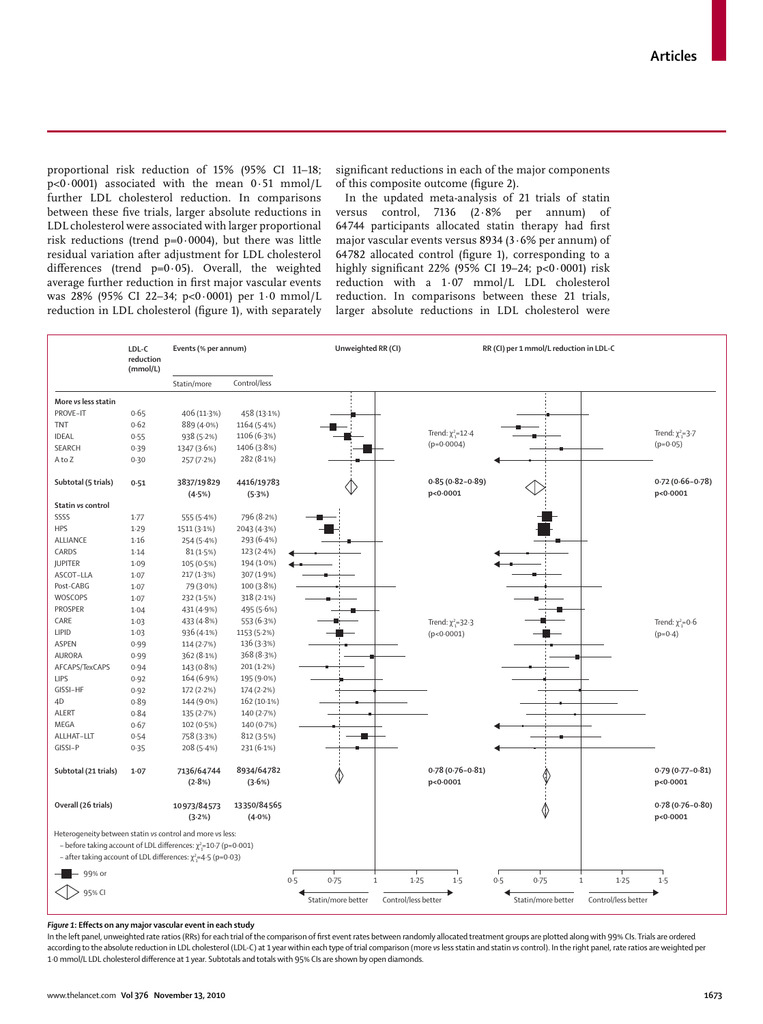proportional risk reduction of 15% (95% CI 11–18; p<0·0001) associated with the mean 0·51 mmol/L further LDL cholesterol reduction. In comparisons between these five trials, larger absolute reductions in LDL cholesterol were associated with larger proportional risk reductions (trend  $p=0.0004$ ), but there was little residual variation after adjustment for LDL cholesterol differences (trend  $p=0.05$ ). Overall, the weighted average further reduction in first major vascular events was 28% (95% CI 22–34; p<0·0001) per 1·0 mmol/L reduction in LDL cholesterol (figure 1), with separately

significant reductions in each of the major components of this composite outcome (figure 2).

In the updated meta-analysis of 21 trials of statin versus control, 7136 (2·8% per annum) of 64744 participants allocated statin therapy had first major vascular events versus 8934 (3·6% per annum) of 64782 allocated control (figure 1), corresponding to a highly significant 22% (95% CI 19-24; p<0 $0.0001$ ) risk reduction with a 1·07 mmol/L LDL cholesterol reduction. In comparisons between these 21 trials, larger absolute reductions in LDL cholesterol were



#### Figure 1: Effects on any major vascular event in each study

In the left panel, unweighted rate ratios (RRs) for each trial of the comparison of first event rates between randomly allocated treatment groups are plotted along with 99% CIs. Trials are ordered according to the absolute reduction in LDL cholesterol (LDL-C) at 1 year within each type of trial comparison (more *vs* less statin and statin *vs* control). In the right panel, rate ratios are weighted per 1·0 mmol/L LDL cholesterol difference at 1 year. Subtotals and totals with 95% CIs are shown by open diamonds.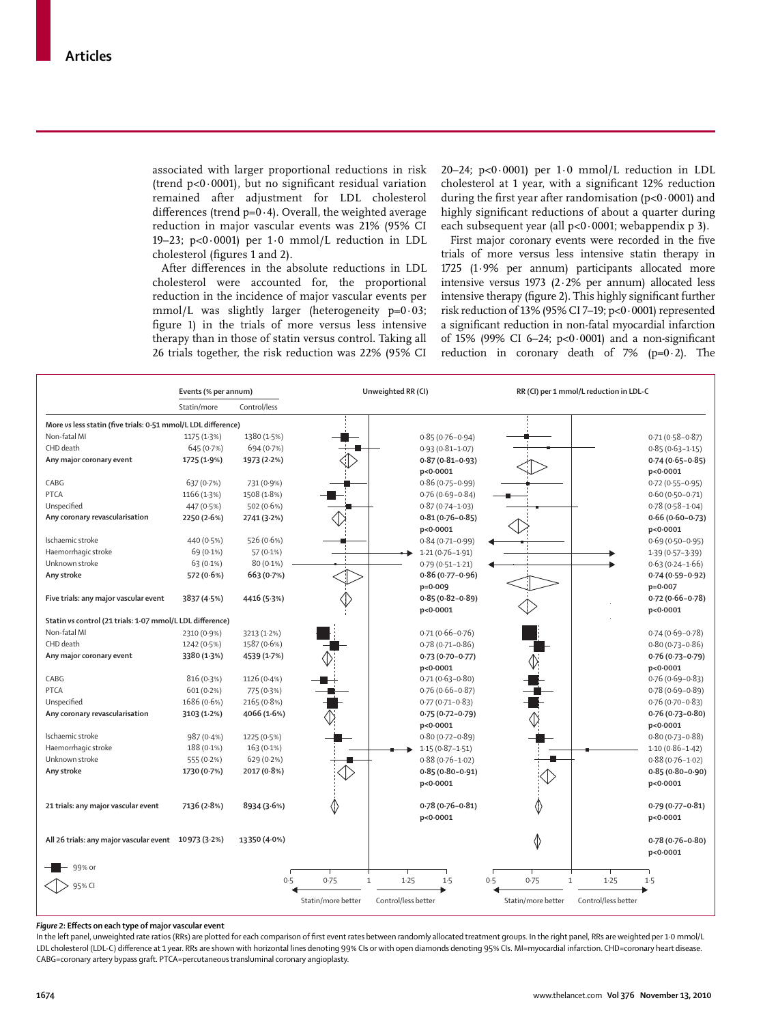associated with larger proportional reductions in risk (trend  $p<0.0001$ ), but no significant residual variation remained after adjustment for LDL cholesterol differences (trend  $p=0.4$ ). Overall, the weighted average reduction in major vascular events was 21% (95% CI 19–23; p<0·0001) per 1·0 mmol/L reduction in LDL cholesterol (figures 1 and 2).

After differences in the absolute reductions in LDL cholesterol were accounted for, the proportional reduction in the incidence of major vascular events per mmol/L was slightly larger (heterogeneity  $p=0.03$ ; figure 1) in the trials of more versus less intensive therapy than in those of statin versus control. Taking all 26 trials together, the risk reduction was 22% (95% CI 20–24;  $p<0.0001$  per 1.0 mmol/L reduction in LDL cholesterol at 1 year, with a significant 12% reduction during the first year after randomisation ( $p < 0.0001$ ) and highly significant reductions of about a quarter during each subsequent year (all  $p<0.0001$ ; webappendix p 3).

First major coronary events were recorded in the five trials of more versus less intensive statin therapy in 1725 (1·9% per annum) participants allocated more intensive versus 1973 (2·2% per annum) allocated less intensive therapy (figure 2). This highly significant further risk reduction of 13% (95% CI 7–19; p<0·0001) represented a significant reduction in non-fatal myocardial infarction of 15% (99% CI 6–24; p<0 $0.0001$ ) and a non-significant reduction in coronary death of  $7\%$  (p=0·2). The

|                                                               | Events (% per annum) |              |                     | Unweighted RR (CI)  |                    | RR (CI) per 1 mmol/L reduction in LDL-C |                     |  |
|---------------------------------------------------------------|----------------------|--------------|---------------------|---------------------|--------------------|-----------------------------------------|---------------------|--|
|                                                               | Statin/more          | Control/less |                     |                     |                    |                                         |                     |  |
| More vs less statin (five trials: 0.51 mmol/L LDL difference) |                      |              |                     |                     |                    |                                         |                     |  |
| Non-fatal MI                                                  | 1175 (1.3%)          | 1380 (1.5%)  |                     | $0.85(0.76 - 0.94)$ |                    |                                         | $0.71(0.58 - 0.87)$ |  |
| CHD death                                                     | 645 (0.7%)           | 694 (0.7%)   |                     | $0.93(0.81 - 1.07)$ |                    |                                         | $0.85(0.63 - 1.15)$ |  |
| Any major coronary event                                      | 1725 (1.9%)          | 1973 (2-2%)  |                     | $0.87(0.81 - 0.93)$ |                    |                                         | $0.74(0.65 - 0.85)$ |  |
|                                                               |                      |              |                     | p<0.0001            |                    |                                         | p<0.0001            |  |
| CABG                                                          | 637 (0.7%)           | 731 (0.9%)   |                     | $0.86(0.75 - 0.99)$ |                    |                                         | $0.72(0.55 - 0.95)$ |  |
| PTCA                                                          | 1166 (1.3%)          | 1508 (1.8%)  |                     | $0.76(0.69 - 0.84)$ |                    |                                         | $0.60(0.50 - 0.71)$ |  |
| Unspecified                                                   | 447 (0.5%)           | 502 (0.6%)   |                     | $0.87(0.74 - 1.03)$ |                    |                                         | $0.78(0.58 - 1.04)$ |  |
| Any coronary revascularisation                                | 2250 (2.6%)          | 2741 (3.2%)  |                     | $0.81(0.76 - 0.85)$ |                    |                                         | $0.66(0.60 - 0.73)$ |  |
|                                                               |                      |              |                     | p<0.0001            |                    |                                         | p<0.0001            |  |
| Ischaemic stroke                                              | 440 (0.5%)           | 526 (0.6%)   |                     | $0.84(0.71 - 0.99)$ |                    |                                         | $0.69(0.50 - 0.95)$ |  |
| Haemorrhagic stroke                                           | $69(0.1\%)$          | $57(0.1\%)$  |                     | $1.21(0.76 - 1.91)$ |                    |                                         | 1.39 (0.57-3.39)    |  |
| Unknown stroke                                                | $63(0.1\%)$          | $80(0.1\%)$  |                     | $0.79(0.51 - 1.21)$ |                    |                                         | $0.63(0.24 - 1.66)$ |  |
| Any stroke                                                    | 572 (0.6%)           | 663 (0.7%)   |                     | $0.86(0.77 - 0.96)$ |                    |                                         | $0.74(0.59 - 0.92)$ |  |
|                                                               |                      |              |                     | $p = 0.009$         |                    |                                         | $p=0.007$           |  |
| Five trials: any major vascular event                         | 3837 (4.5%)          | 4416 (5-3%)  |                     | $0.85(0.82 - 0.89)$ |                    |                                         | $0.72(0.66 - 0.78)$ |  |
|                                                               |                      |              |                     | p<0.0001            |                    |                                         | p<0.0001            |  |
| Statin vs control (21 trials: 1-07 mmol/L LDL difference)     |                      |              |                     |                     |                    |                                         |                     |  |
| Non-fatal MI                                                  | 2310 (0.9%)          | 3213 (1.2%)  |                     | $0.71(0.66 - 0.76)$ |                    |                                         | $0.74(0.69 - 0.78)$ |  |
| CHD death                                                     | 1242 (0.5%)          | 1587 (0.6%)  |                     | $0.78(0.71 - 0.86)$ |                    |                                         | $0.80(0.73 - 0.86)$ |  |
| Any major coronary event                                      | 3380 (1.3%)          | 4539 (1.7%)  |                     | $0.73(0.70 - 0.77)$ |                    |                                         | $0.76(0.73 - 0.79)$ |  |
|                                                               |                      |              |                     | p<0.0001            |                    |                                         | p<0.0001            |  |
| CABG                                                          | 816 (0.3%)           | 1126 (0.4%)  |                     | $0.71(0.63 - 0.80)$ |                    |                                         | $0.76(0.69 - 0.83)$ |  |
| PTCA                                                          | 601(0.2%)            | 775 (0.3%)   |                     | $0.76(0.66 - 0.87)$ |                    |                                         | $0.78(0.69 - 0.89)$ |  |
| Unspecified                                                   | 1686 (0.6%)          | 2165 (0.8%)  |                     | $0.77(0.71 - 0.83)$ |                    |                                         | $0.76(0.70 - 0.83)$ |  |
| Any coronary revascularisation                                | 3103 (1.2%)          | 4066 (1.6%)  |                     | $0.75(0.72 - 0.79)$ |                    |                                         | $0.76(0.73 - 0.80)$ |  |
|                                                               |                      |              |                     | p<0.0001            |                    |                                         | p<0.0001            |  |
| Ischaemic stroke                                              | 987 (0.4%)           | 1225 (0.5%)  |                     | $0.80(0.72 - 0.89)$ |                    |                                         | $0.80(0.73 - 0.88)$ |  |
| Haemorrhagic stroke                                           | 188 (0.1%)           | $163(0.1\%)$ |                     | $1.15(0.87 - 1.51)$ |                    |                                         | $1.10(0.86 - 1.42)$ |  |
| Unknown stroke                                                | 555 (0.2%)           | 629 (0.2%)   |                     | $0.88(0.76 - 1.02)$ |                    |                                         | $0.88(0.76 - 1.02)$ |  |
| Any stroke                                                    | 1730 (0.7%)          | 2017 (0.8%)  |                     | $0.85(0.80 - 0.91)$ |                    |                                         | $0.85(0.80 - 0.90)$ |  |
|                                                               |                      |              |                     | p<0.0001            |                    |                                         | p<0.0001            |  |
|                                                               |                      |              |                     |                     |                    |                                         |                     |  |
| 21 trials: any major vascular event                           | 7136 (2.8%)          | 8934 (3.6%)  |                     | $0.78(0.76 - 0.81)$ |                    |                                         | $0.79(0.77 - 0.81)$ |  |
|                                                               |                      |              |                     | p<0.0001            |                    |                                         | p<0.0001            |  |
|                                                               |                      |              |                     |                     |                    |                                         |                     |  |
| All 26 trials: any major vascular event 10973 (3.2%)          |                      | 13350 (4.0%) |                     |                     | ♦                  |                                         | $0.78(0.76 - 0.80)$ |  |
|                                                               |                      |              |                     |                     |                    |                                         | p<0.0001            |  |
| 99% or                                                        |                      |              |                     |                     |                    |                                         |                     |  |
|                                                               |                      | 0.5          | 0.75<br>$\mathbf 1$ | 1.25<br>1.5<br>0.5  | 0.75<br>$1\,$      | 1.25                                    | 1.5                 |  |
| 95% CI                                                        |                      |              |                     |                     |                    |                                         |                     |  |
|                                                               |                      |              | Statin/more better  | Control/less better | Statin/more better | Control/less better                     |                     |  |

#### *Figure 2***: Eff ects on each type of major vascular event**

In the left panel, unweighted rate ratios (RRs) are plotted for each comparison of first event rates between randomly allocated treatment groups. In the right panel, RRs are weighted per 1·0 mmol/L LDL cholesterol (LDL-C) difference at 1 year. RRs are shown with horizontal lines denoting 99% CIs or with open diamonds denoting 95% CIs. MI=myocardial infarction. CHD=coronary heart disease. CABG=coronary artery bypass graft. PTCA=percutaneous transluminal coronary angioplasty.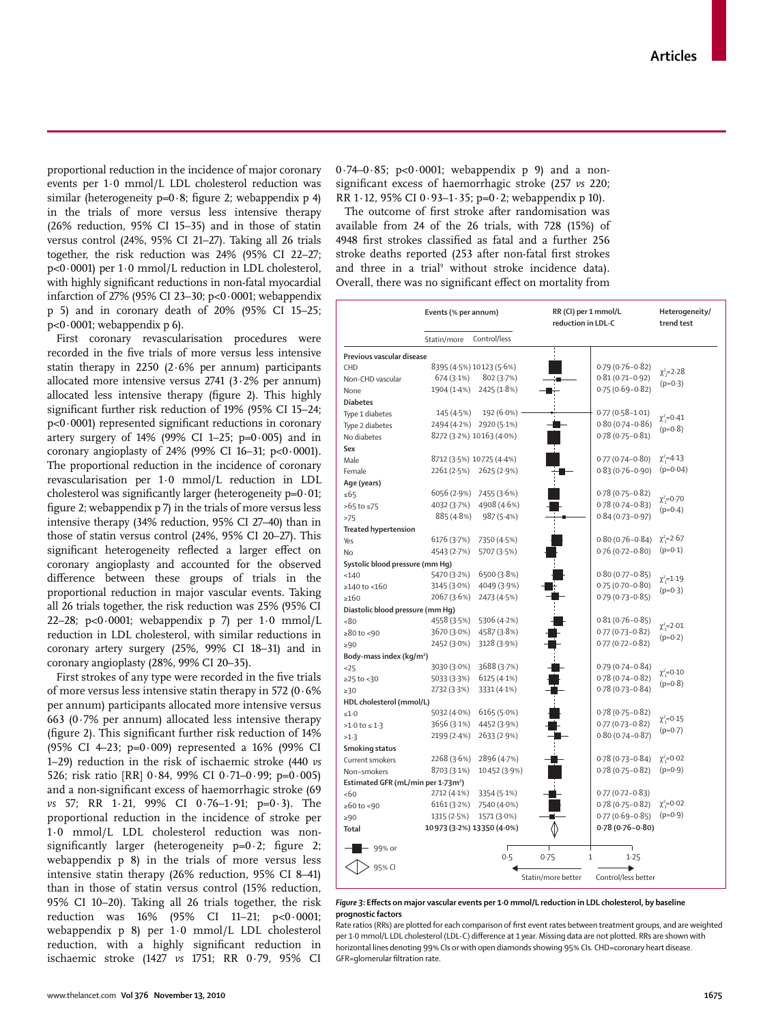proportional reduction in the incidence of major coronary events per 1·0 mmol/L LDL cholesterol reduction was similar (heterogeneity  $p=0.8$ ; figure 2; webappendix p 4) in the trials of more versus less intensive therapy (26% reduction, 95% CI 15–35) and in those of statin versus control (24%, 95% CI 21–27). Taking all 26 trials together, the risk reduction was 24% (95% CI 22–27; p<0·0001) per 1·0 mmol/L reduction in LDL cholesterol, with highly significant reductions in non-fatal myocardial infarction of 27% (95% CI 23–30; p<0·0001; webappendix p 5) and in coronary death of 20% (95% CI 15–25;  $p<0.0001$ ; webappendix p 6).

First coronary revascularisation procedures were recorded in the five trials of more versus less intensive statin therapy in 2250 (2 $\cdot$ 6% per annum) participants allocated more intensive versus  $2741$  (3 $\cdot$ 2% per annum) allocated less intensive therapy (figure 2). This highly significant further risk reduction of 19% (95% CI 15–24;  $p<0.0001$  represented significant reductions in coronary artery surgery of 14% (99% CI 1–25;  $p=0.005$ ) and in coronary angioplasty of 24% (99% CI 16–31; p<0·0001). The proportional reduction in the incidence of coronary revascularisation per 1·0 mmol/L reduction in LDL cholesterol was significantly larger (heterogeneity  $p=0.01$ ; figure 2; webappendix  $p$  7) in the trials of more versus less intensive therapy (34% reduction, 95% CI 27–40) than in those of statin versus control (24%, 95% CI 20–27). This significant heterogeneity reflected a larger effect on coronary angioplasty and accounted for the observed difference between these groups of trials in the proportional reduction in major vascular events. Taking all 26 trials together, the risk reduction was 25% (95% CI 22–28; p<0 $0.0001$ ; webappendix p 7) per 1 $0.0001$ . reduction in LDL cholesterol, with similar reductions in coronary artery surgery (25%, 99% CI 18–31) and in coronary angioplasty (28%, 99% CI 20–35).

First strokes of any type were recorded in the five trials of more versus less intensive statin therapy in 572 (0·6% per annum) participants allocated more intensive versus 663 (0·7% per annum) allocated less intensive therapy (figure 2). This significant further risk reduction of  $14\%$ (95% CI 4–23; p=0·009) represented a 16% (99% CI 1–29) reduction in the risk of ischaemic stroke (440 *vs* 526; risk ratio [RR] 0·84, 99% CI 0·71–0·99; p=0·005) and a non-significant excess of haemorrhagic stroke (69 *vs* 57; RR 1·21, 99% CI 0·76–1·91; p=0·3). The proportional reduction in the incidence of stroke per 1·0 mmol/L LDL cholesterol reduction was nonsignificantly larger (heterogeneity  $p=0.2$ ; figure 2; webappendix p 8) in the trials of more versus less intensive statin therapy (26% reduction, 95% CI 8–41) than in those of statin versus control (15% reduction, 95% CI 10–20). Taking all 26 trials together, the risk reduction was 16% (95% CI 11–21; p<0·0001; webappendix p 8) per 1·0 mmol/L LDL cholesterol reduction, with a highly significant reduction in ischaemic stroke (1427 *vs* 1751; RR 0·79, 95% CI  $0.74 - 0.85$ ;  $p < 0.0001$ ; webappendix p 9) and a nonsignificant excess of haemorrhagic stroke (257 *vs* 220; RR 1·12, 95% CI 0·93–1·35; p=0·2; webappendix p 10).

The outcome of first stroke after randomisation was available from 24 of the 26 trials, with 728 (15%) of 4948 first strokes classified as fatal and a further 256 stroke deaths reported (253 after non-fatal first strokes and three in a trial<sup>9</sup> without stroke incidence data). Overall, there was no significant effect on mortality from

|                                                | Events (% per annum)      |                         |                    | RR (CI) per 1 mmol/L<br>reduction in LDL-C |                                  |  |
|------------------------------------------------|---------------------------|-------------------------|--------------------|--------------------------------------------|----------------------------------|--|
|                                                | Statin/more               | Control/less            |                    |                                            |                                  |  |
| Previous vascular disease                      |                           |                         |                    |                                            |                                  |  |
| CHD                                            | 8395 (4.5%) 10123 (5.6%)  |                         |                    | $0.79(0.76 - 0.82)$                        |                                  |  |
| Non-CHD vascular                               | 674 (3.1%)                | 802(3.7%)               |                    | $0.81(0.71 - 0.92)$                        | $\chi^2$ =2.28                   |  |
| None                                           | 1904 (1.4%)               | 2425 (1.8%)             |                    | $0.75(0.69 - 0.82)$                        | $(p=0.3)$                        |  |
| <b>Diabetes</b>                                |                           |                         |                    |                                            |                                  |  |
| Type 1 diabetes                                | 145 (4.5%)                | $192(6.0\%)$            |                    | $0.77(0.58 - 1.01)$                        |                                  |  |
| Type 2 diabetes                                | 2494 (4.2%) 2920 (5.1%)   |                         |                    | $0.80(0.74 - 0.86)$                        | $\chi^2$ =0.41<br>$(p=0.8)$      |  |
| No diabetes                                    | 8272 (3.2%) 10163 (4.0%)  |                         |                    | $0.78(0.75 - 0.81)$                        |                                  |  |
| Sex                                            |                           |                         |                    |                                            |                                  |  |
| Male                                           | 8712 (3.5%) 10725 (4.4%)  |                         |                    | $0.77(0.74 - 0.80)$                        | $\chi^2$ = 4.13                  |  |
| Female                                         |                           | 2261 (2.5%) 2625 (2.9%) |                    | $0.83(0.76 - 0.90)$                        | $(p=0.04)$                       |  |
| Age (years)                                    |                           |                         |                    |                                            |                                  |  |
| ≤65                                            | 6056 (2.9%)               | 7455 (3.6%)             |                    | $0.78(0.75 - 0.82)$                        |                                  |  |
| >65 to ≤75                                     | 4032 (3.7%)               | 4908 (4.6%)             |                    | $0.78(0.74 - 0.83)$                        | $\chi^2_{1} = 0.70$<br>$(p=0.4)$ |  |
| >75                                            | 885 (4.8%)                | 987(5.4%)               |                    | $0.84(0.73 - 0.97)$                        |                                  |  |
| <b>Treated hypertension</b>                    |                           |                         |                    |                                            |                                  |  |
| Yes                                            | 6176 (3.7%)               | 7350 (4.5%)             |                    | $0.80(0.76 - 0.84)$                        | $\chi^2$ =2.67                   |  |
| No                                             | 4543 (2.7%)               | 5707 (3.5%)             |                    | $0.76(0.72 - 0.80)$                        | $(p=0.1)$                        |  |
| Systolic blood pressure (mm Hq)                |                           |                         |                    |                                            |                                  |  |
| <140                                           | 5470 (3.2%)               | 6500 (3.8%)             |                    | $0.80(0.77 - 0.85)$                        |                                  |  |
| ≥140 to <160                                   | 3145 (3.0%)               | 4049 (3.9%)             |                    | $0.75(0.70 - 0.80)$                        | $\chi^2 = 1.19$                  |  |
| $\geq 160$                                     | 2067 (3.6%)               | 2473 (4.5%)             |                    | $0.79(0.73 - 0.85)$                        | $(p=0.3)$                        |  |
| Diastolic blood pressure (mm Hg)               |                           |                         |                    |                                            |                                  |  |
| <80                                            | 4558 (3.5%)               | 5306 (4.2%)             |                    | $0.81(0.76 - 0.85)$                        |                                  |  |
| ≥80 to <90                                     | 3670 (3.0%)               | 4587 (3.8%)             |                    | $0.77(0.73 - 0.82)$                        | $\chi^2$ =2.01                   |  |
| $\geq 90$                                      | 2452 (3.0%)               | 3128 (3.9%)             |                    | $0.77(0.72 - 0.82)$                        | $(p=0.2)$                        |  |
| Body-mass index ( $kg/m2$ )                    |                           |                         |                    |                                            |                                  |  |
| $25$                                           | 3030 (3.0%)               | 3688 (3.7%)             |                    | $0.79(0.74 - 0.84)$                        |                                  |  |
| ≥25 to <30                                     | 5033 (3·3%)               | 6125 (4.1%)             |                    | $0.78(0.74 - 0.82)$                        | $\chi^2_{1} = 0.10$              |  |
| $\geq$ 30                                      | 2732 (3·3%)               | 3331 (4.1%)             |                    | $0.78(0.73 - 0.84)$                        | $(p=0.8)$                        |  |
| HDL cholesterol (mmol/L)                       |                           |                         |                    |                                            |                                  |  |
| $\leq 1.0$                                     | 5032 (4.0%)               | 6165(5.0%)              |                    | $0.78(0.75 - 0.82)$                        |                                  |  |
| $>1.0$ to $\leq 1.3$                           | 3656 (3.1%)               | 4452 (3.9%)             |                    | $0.77(0.73 - 0.82)$                        | $\chi^2$ =0.15                   |  |
| >1.3                                           | 2199 (2.4%)               | 2633 (2.9%)             |                    | $0.80(0.74 - 0.87)$                        | $(p=0.7)$                        |  |
| <b>Smoking status</b>                          |                           |                         |                    |                                            |                                  |  |
| Current smokers                                | 2268 (3.6%)               | 2896 (4.7%)             |                    | $0.78(0.73 - 0.84)$                        | $\chi^2 = 0.02$                  |  |
| Non-smokers                                    | 8703 (3.1%)               | 10452 (3.9%)            |                    | $0.78(0.75 - 0.82)$                        | $(p=0.9)$                        |  |
| Estimated GFR (mL/min per 1.73m <sup>2</sup> ) |                           |                         |                    |                                            |                                  |  |
| <60                                            | 2712 (4.1%)               | 3354 (5.1%)             |                    | $0.77(0.72 - 0.83)$                        |                                  |  |
| ≥60 to <90                                     | 6161 (3.2%)               | 7540 (4.0%)             |                    | $0.78(0.75 - 0.82)$                        | $\chi^2$ =0.02                   |  |
| $\geq 90$                                      | 1315 (2.5%)               | 1571 (3.0%)             |                    | $0.77(0.69 - 0.85)$                        | $(p=0.9)$                        |  |
| Total                                          | 10973 (3.2%) 13350 (4.0%) |                         |                    | $0.78(0.76 - 0.80)$                        |                                  |  |
| 99% or                                         |                           |                         |                    |                                            |                                  |  |
|                                                |                           | 0.5                     | 0.75               | $\mathbf{1}$<br>1.25                       |                                  |  |
| 95% CI                                         |                           |                         |                    |                                            |                                  |  |
|                                                |                           |                         | Statin/more better | Control/less better                        |                                  |  |

#### Figure 3: Effects on major vascular events per 1<sup>.</sup>0 mmol/L reduction in LDL cholesterol, by baseline **prognostic factors**

Rate ratios (RRs) are plotted for each comparison of first event rates between treatment groups, and are weighted per 1·0 mmol/L LDL cholesterol (LDL-C) difference at 1 year. Missing data are not plotted. RRs are shown with horizontal lines denoting 99% CIs or with open diamonds showing 95% CIs. CHD=coronary heart disease. GFR=glomerular filtration rate.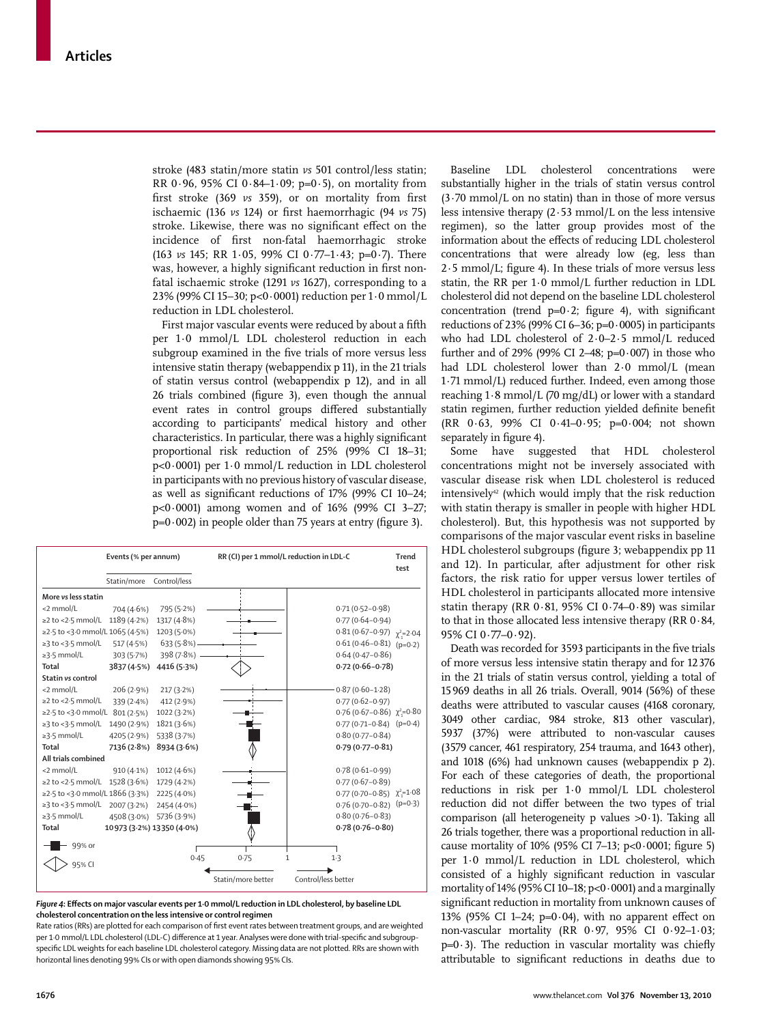stroke (483 statin/more statin *vs* 501 control/less statin; RR 0.96, 95% CI 0.84-1.09; p=0.5), on mortality from first stroke (369 *vs* 359), or on mortality from first ischaemic (136 *vs* 124) or first haemorrhagic (94 *vs* 75) stroke. Likewise, there was no significant effect on the incidence of first non-fatal haemorrhagic stroke (163 *vs* 145; RR 1·05, 99% CI 0·77–1·43; p=0·7). There was, however, a highly significant reduction in first nonfatal ischaemic stroke (1291 *vs* 1627), corresponding to a 23% (99% CI 15–30; p<0·0001) reduction per 1·0 mmol/L reduction in LDL cholesterol.

First major vascular events were reduced by about a fifth per 1·0 mmol/L LDL cholesterol reduction in each subgroup examined in the five trials of more versus less intensive statin therapy (webappendix p 11), in the 21 trials of statin versus control (webappendix p 12), and in all 26 trials combined (figure 3), even though the annual event rates in control groups differed substantially according to participants' medical history and other characteristics. In particular, there was a highly significant proportional risk reduction of 25% (99% CI 18–31; p<0·0001) per 1·0 mmol/L reduction in LDL cholesterol in participants with no previous history of vascular disease, as well as significant reductions of 17% (99% CI 10-24; p<0·0001) among women and of 16% (99% CI 3–27;  $p=0.002$ ) in people older than 75 years at entry (figure 3).

|                                     | Events (% per annum) |                           | RR (CI) per 1 mmol/L reduction in LDL-C | Trend<br>test                        |  |  |  |
|-------------------------------------|----------------------|---------------------------|-----------------------------------------|--------------------------------------|--|--|--|
|                                     | Statin/more          | Control/less              |                                         |                                      |  |  |  |
| More vs less statin                 |                      |                           |                                         |                                      |  |  |  |
| <2 mmol/L                           | 704 (4.6%)           | 795 (5.2%)                |                                         | $0.71(0.52 - 0.98)$                  |  |  |  |
| $\geq$ 2 to <2.5 mmol/L             | 1189 (4.2%)          | 1317 (4.8%)               |                                         | $0.77(0.64 - 0.94)$                  |  |  |  |
| ≥2.5 to <3.0 mmol/L 1065 (4.5%)     |                      | 1203 (5.0%)               |                                         | $0.81 (0.67 - 0.97)$ $\chi^2 = 2.04$ |  |  |  |
| $\geq$ 3 to <3.5 mmol/L             | 517 (4.5%)           | 633(5.8%)                 |                                         | $0.61(0.46 - 0.81)$ (p=0.2)          |  |  |  |
| $\geq$ 3.5 mmol/L                   | 303 (5.7%)           | 398 (7.8%) -              |                                         | $0.64(0.47 - 0.86)$                  |  |  |  |
| Total                               | 3837 (4.5%)          | 4416 (5.3%)               |                                         | $0.72(0.66 - 0.78)$                  |  |  |  |
| Statin vs control                   |                      |                           |                                         |                                      |  |  |  |
| <2 mmol/L                           | 206(2.9%)            | $217(3.2\%)$              |                                         | $0.87(0.60 - 1.28)$                  |  |  |  |
| $\geq$ 2 to <2.5 mmol/L             | 339(2.4%)            | 412 (2.9%)                |                                         | $0.77(0.62 - 0.97)$                  |  |  |  |
| ≥2.5 to <3.0 mmol/L 801 (2.5%)      |                      | 1022 (3.2%)               |                                         | 0.76 (0.67-0.86) $\chi^2 = 0.80$     |  |  |  |
| $\geq$ 3 to <3.5 mmol/L             | 1490 (2.9%)          | 1821 (3.6%)               |                                         | $0.77(0.71 - 0.84)$ (p=0.4)          |  |  |  |
| $\geq$ 3.5 mmol/L                   | 4205(2.9%)           | 5338 (3.7%)               |                                         | $0.80(0.77 - 0.84)$                  |  |  |  |
| Total                               | 7136 (2.8%)          | 8934 (3.6%)               |                                         | $0.79(0.77 - 0.81)$                  |  |  |  |
| All trials combined                 |                      |                           |                                         |                                      |  |  |  |
| <2 mmol/L                           | 910(4.1%)            | 1012 (4.6%)               |                                         | $0.78(0.61 - 0.99)$                  |  |  |  |
| $\geq$ 2 to <2.5 mmol/L             | 1528 (3.6%)          | 1729 (4.2%)               |                                         | $0.77(0.67 - 0.89)$                  |  |  |  |
| ≥2.5 to <3.0 mmol/L 1866 (3.3%)     |                      | 2225 (4.0%)               |                                         | 0.77 (0.70-0.85) $\chi^2$ =1.08      |  |  |  |
| $\geq$ 3 to <3.5 mmol/L 2007 (3.2%) |                      | 2454 (4.0%)               |                                         | $0.76(0.70 - 0.82)(p=0.3)$           |  |  |  |
| $\geq$ 3.5 mmol/L                   | 4508 (3.0%)          | 5736 (3.9%)               |                                         | $0.80(0.76 - 0.83)$                  |  |  |  |
| Total                               |                      | 10973 (3.2%) 13350 (4.0%) |                                         | $0.78(0.76 - 0.80)$                  |  |  |  |
|                                     |                      |                           |                                         |                                      |  |  |  |
| 99% or                              |                      |                           |                                         |                                      |  |  |  |
| 95% CI                              |                      | 0.45                      | 0.75                                    | 1.3<br>1                             |  |  |  |
|                                     |                      |                           | Statin/more better                      | Control/less better                  |  |  |  |



Rate ratios (RRs) are plotted for each comparison of first event rates between treatment groups, and are weighted per 1-0 mmol/L LDL cholesterol (LDL-C) difference at 1 year. Analyses were done with trial-specific and subgroupspecifi c LDL weights for each baseline LDL cholesterol category. Missing data are not plotted. RRs are shown with horizontal lines denoting 99% CIs or with open diamonds showing 95% CIs.

Baseline LDL cholesterol concentrations were substantially higher in the trials of statin versus control  $(3.70 \text{ mmol/L}$  on no statin) than in those of more versus less intensive therapy  $(2.53 \text{ mmol/L})$  on the less intensive regimen), so the latter group provides most of the information about the effects of reducing LDL cholesterol concentrations that were already low (eg, less than  $2·5$  mmol/L; figure 4). In these trials of more versus less statin, the RR per 1·0 mmol/L further reduction in LDL cholesterol did not depend on the baseline LDL cholesterol concentration (trend  $p=0.2$ ; figure 4), with significant reductions of 23% (99% CI 6–36;  $p=0.0005$ ) in participants who had LDL cholesterol of 2·0–2·5 mmol/L reduced further and of 29% (99% CI 2-48;  $p=0.007$ ) in those who had LDL cholesterol lower than 2·0 mmol/L (mean 1·71 mmol/L) reduced further. Indeed, even among those reaching 1·8 mmol/L (70 mg/dL) or lower with a standard statin regimen, further reduction yielded definite benefit (RR 0·63, 99% CI 0·41–0·95; p=0·004; not shown separately in figure 4).

Some have suggested that HDL cholesterol concentrations might not be inversely associated with vascular disease risk when LDL cholesterol is reduced intensively<sup>42</sup> (which would imply that the risk reduction with statin therapy is smaller in people with higher HDL cholesterol). But, this hypothesis was not supported by comparisons of the major vascular event risks in baseline HDL cholesterol subgroups (figure 3; webappendix pp 11 and 12). In particular, after adjustment for other risk factors, the risk ratio for upper versus lower tertiles of HDL cholesterol in participants allocated more intensive statin therapy (RR  $0.81$ , 95% CI  $0.74 - 0.89$ ) was similar to that in those allocated less intensive therapy (RR 0·84, 95% CI 0·77–0·92).

Death was recorded for 3593 participants in the five trials of more versus less intensive statin therapy and for 12 376 in the 21 trials of statin versus control, yielding a total of 15 969 deaths in all 26 trials. Overall, 9014 (56%) of these deaths were attributed to vascular causes (4168 coronary, 3049 other cardiac, 984 stroke, 813 other vascular), 5937 (37%) were attributed to non-vascular causes (3579 cancer, 461 respiratory, 254 trauma, and 1643 other), and 1018 (6%) had unknown causes (webappendix p 2). For each of these categories of death, the proportional reductions in risk per 1·0 mmol/L LDL cholesterol reduction did not differ between the two types of trial comparison (all heterogeneity p values >0·1). Taking all 26 trials together, there was a proportional reduction in allcause mortality of  $10\%$  (95% CI 7–13; p<0 $\cdot$ 0001; figure 5) per 1·0 mmol/L reduction in LDL cholesterol, which consisted of a highly significant reduction in vascular mortality of 14% (95% CI 10–18;  $p<0.0001$ ) and a marginally significant reduction in mortality from unknown causes of 13% (95% CI 1–24; p=0 $\cdot$ 04), with no apparent effect on non-vascular mortality (RR 0·97, 95% CI 0·92–1·03;  $p=0.3$ ). The reduction in vascular mortality was chiefly attributable to significant reductions in deaths due to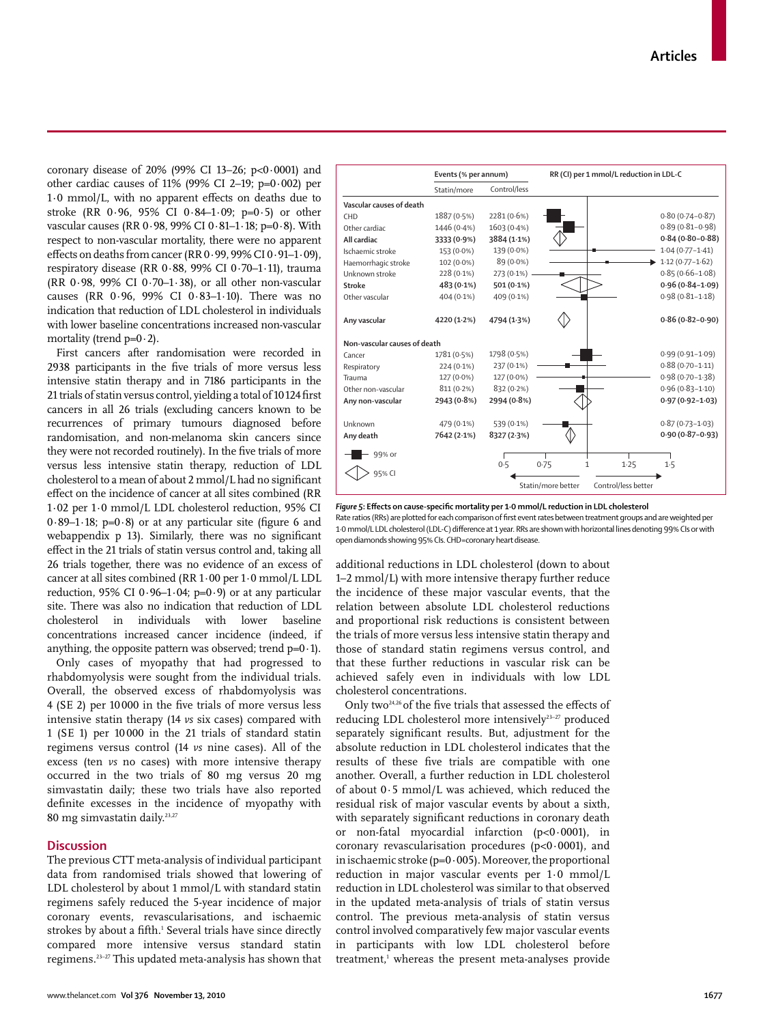coronary disease of 20% (99% CI 13-26;  $p<0.0001$ ) and other cardiac causes of 11% (99% CI 2-19;  $p=0.002$ ) per 1.0 mmol/L, with no apparent effects on deaths due to stroke (RR 0.96, 95% CI 0.84-1.09; p=0.5) or other vascular causes (RR 0·98, 99% CI 0·81–1·18; p=0·8). With respect to non-vascular mortality, there were no apparent effects on deaths from cancer (RR  $0.99$ , 99% CI  $0.91-1.09$ ), respiratory disease (RR 0·88, 99% CI 0·70–1·11), trauma (RR 0·98, 99% CI 0·70–1·38), or all other non-vascular causes (RR 0·96, 99% CI 0·83–1·10). There was no indication that reduction of LDL cholesterol in individuals with lower baseline concentrations increased non-vascular mortality (trend  $p=0.2$ ).

First cancers after randomisation were recorded in 2938 participants in the five trials of more versus less intensive statin therapy and in 7186 participants in the 21 trials of statin versus control, yielding a total of 10124 first cancers in all 26 trials (excluding cancers known to be recurrences of primary tumours diagnosed before randomisation, and non-melanoma skin cancers since they were not recorded routinely). In the five trials of more versus less intensive statin therapy, reduction of LDL cholesterol to a mean of about 2 mmol/L had no significant effect on the incidence of cancer at all sites combined (RR 1·02 per 1·0 mmol/L LDL cholesterol reduction, 95% CI  $0.89-1.18$ ; p= $0.8$ ) or at any particular site (figure 6 and webappendix p 13). Similarly, there was no significant effect in the 21 trials of statin versus control and, taking all 26 trials together, there was no evidence of an excess of cancer at all sites combined (RR 1·00 per 1·0 mmol/L LDL reduction, 95% CI 0 $.96-1.04$ ; p=0 $.9$ ) or at any particular site. There was also no indication that reduction of LDL cholesterol in individuals with lower baseline concentrations increased cancer incidence (indeed, if anything, the opposite pattern was observed; trend  $p=0.1$ ).

Only cases of myopathy that had progressed to rhabdomyolysis were sought from the individual trials. Overall, the observed excess of rhabdomyolysis was 4 (SE 2) per 10000 in the five trials of more versus less intensive statin therapy (14 *vs* six cases) compared with 1 (SE 1) per 10 000 in the 21 trials of standard statin regimens versus control (14 *vs* nine cases). All of the excess (ten *vs* no cases) with more intensive therapy occurred in the two trials of 80 mg versus 20 mg simvastatin daily; these two trials have also reported definite excesses in the incidence of myopathy with 80 mg simvastatin daily.<sup>23,27</sup>

#### **Discussion**

The previous CTT meta-analysis of individual participant data from randomised trials showed that lowering of LDL cholesterol by about 1 mmol/L with standard statin regimens safely reduced the 5-year incidence of major coronary events, revascularisations, and ischaemic strokes by about a fifth.<sup>1</sup> Several trials have since directly compared more intensive versus standard statin regimens.23–27 This updated meta-analysis has shown that



Figure 5: Effects on cause-specific mortality per 1.0 mmol/L reduction in LDL cholesterol Rate ratios (RRs) are plotted for each comparison of first event rates between treatment groups and are weighted per 1·0 mmol/L LDL cholesterol (LDL-C) diff erence at 1 year. RRs are shown with horizontal lines denoting 99% CIs or with open diamonds showing 95% CIs. CHD=coronary heart disease.

additional reductions in LDL cholesterol (down to about 1–2 mmol/L) with more intensive therapy further reduce the incidence of these major vascular events, that the relation between absolute LDL cholesterol reductions and proportional risk reductions is consistent between the trials of more versus less intensive statin therapy and those of standard statin regimens versus control, and that these further reductions in vascular risk can be achieved safely even in individuals with low LDL cholesterol concentrations.

Only two<sup>24,26</sup> of the five trials that assessed the effects of reducing LDL cholesterol more intensively<sup>23-27</sup> produced separately significant results. But, adjustment for the absolute reduction in LDL cholesterol indicates that the results of these five trials are compatible with one another. Overall, a further reduction in LDL cholesterol of about 0·5 mmol/L was achieved, which reduced the residual risk of major vascular events by about a sixth, with separately significant reductions in coronary death or non-fatal myocardial infarction (p<0·0001), in coronary revascularisation procedures (p<0·0001), and in ischaemic stroke ( $p=0.005$ ). Moreover, the proportional reduction in major vascular events per 1·0 mmol/L reduction in LDL cholesterol was similar to that observed in the updated meta-analysis of trials of statin versus control. The previous meta-analysis of statin versus control involved comparatively few major vascular events in participants with low LDL cholesterol before treatment,<sup>1</sup> whereas the present meta-analyses provide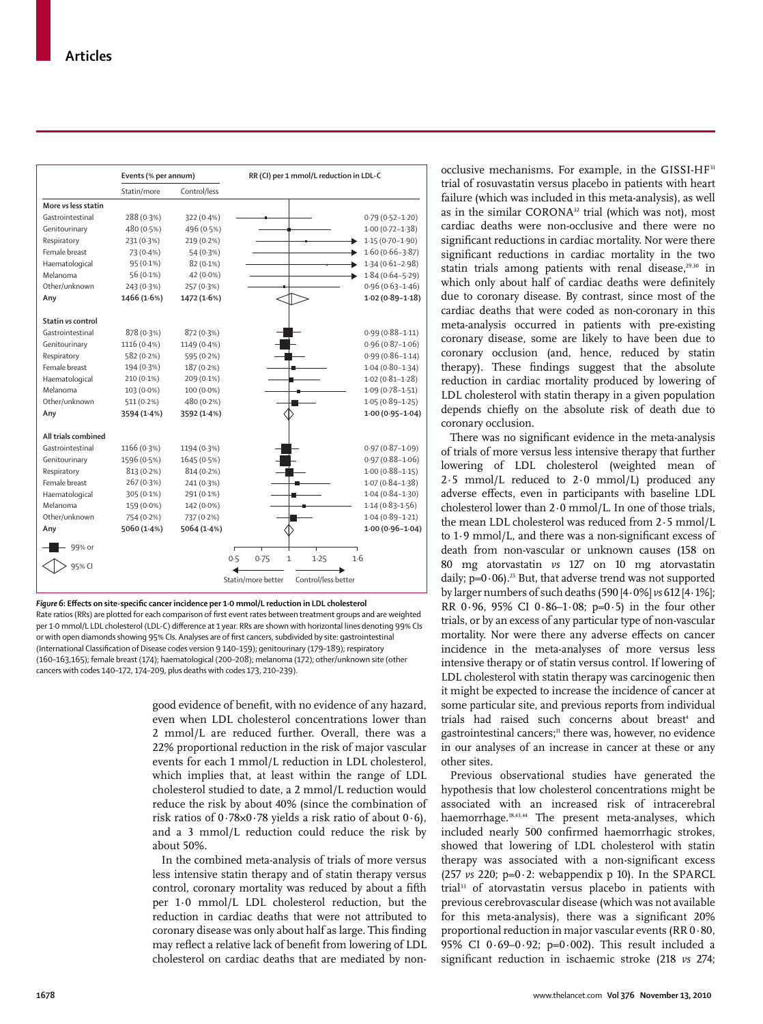|                     | Events (% per annum) |              | RR (CI) per 1 mmol/L reduction in LDL-C    |
|---------------------|----------------------|--------------|--------------------------------------------|
|                     | Statin/more          | Control/less |                                            |
| More vs less statin |                      |              |                                            |
| Gastrointestinal    | 288 (0.3%)           | 322 (0.4%)   | $0.79(0.52 - 1.20)$                        |
| Genitourinary       | 480 (0.5%)           | 496 (0.5%)   | $1.00(0.72 - 1.38)$                        |
| Respiratory         | 231 (0.3%)           | 219 (0.2%)   | $1.15(0.70 - 1.90)$                        |
| Female breast       | 73 (0.4%)            | 54 (0.3%)    | $1.60(0.66 - 3.87)$                        |
| Haematological      | $95(0.1\%)$          | 82 (0.1%)    | $1.34(0.61 - 2.98)$                        |
| Melanoma            | $56(0.1\%)$          | 42 (0.0%)    | $1.84(0.64 - 5.29)$                        |
| Other/unknown       | 243 (0.3%)           | 257 (0.3%)   | $0.96(0.63 - 1.46)$                        |
| Any                 | 1466 (1.6%)          | 1472 (1.6%)  | $1.02(0.89 - 1.18)$                        |
| Statin vs control   |                      |              |                                            |
| Gastrointestinal    | 878 (0.3%)           | 872 (0.3%)   | $0.99(0.88 - 1.11)$                        |
| Genitourinary       | 1116 (0.4%)          | 1149 (0.4%)  | $0.96(0.87 - 1.06)$                        |
| Respiratory         | 582 (0.2%)           | 595 (0.2%)   | $0.99(0.86 - 1.14)$                        |
| Female breast       | 194 (0.3%)           | 187 (0.2%)   | $1.04(0.80 - 1.34)$                        |
| Haematological      | 210 (0.1%)           | 209 (0.1%)   | $1.02(0.81 - 1.28)$                        |
| Melanoma            | 103 (0.0%)           | 100 (0.0%)   | $1.09(0.78 - 1.51)$                        |
| Other/unknown       | 511(0.2%)            | 480 (0.2%)   | $1.05(0.89 - 1.25)$                        |
| Any                 | 3594 (1.4%)          | 3592 (1-4%)  | $1.00(0.95 - 1.04)$                        |
| All trials combined |                      |              |                                            |
| Gastrointestinal    | 1166 (0.3%)          | 1194 (0.3%)  | $0.97(0.87 - 1.09)$                        |
| Genitourinary       | 1596 (0.5%)          | 1645 (0.5%)  | $0.97(0.88 - 1.06)$                        |
| Respiratory         | 813 (0.2%)           | 814 (0.2%)   | $1.00(0.88 - 1.15)$                        |
| Female breast       | 267 (0.3%)           | 241(0.3%)    | $1.07(0.84 - 1.38)$                        |
| Haematological      | 305 (0.1%)           | 291 (0.1%)   | $1.04(0.84 - 1.30)$                        |
| Melanoma            | 159 (0.0%)           | 142 (0.0%)   | $1.14(0.83 - 1.56)$                        |
| Other/unknown       | 754 (0.2%)           | 737 (0.2%)   | $1.04(0.89 - 1.21)$                        |
| Any                 | 5060 (1.4%)          | 5064 (1.4%)  | $1.00(0.96 - 1.04)$                        |
| 99% or              |                      |              |                                            |
| 95% CI              |                      |              | 0.5<br>0.75<br>$\mathbf{1}$<br>1.25<br>1·6 |
|                     |                      |              | Control/less better<br>Statin/more better  |

Figure 6: Effects on site-specific cancer incidence per 1<sup>.</sup>0 mmol/L reduction in LDL cholesterol Rate ratios (RRs) are plotted for each comparison of first event rates between treatment groups and are weighted per 1-0 mmol/L LDL cholesterol (LDL-C) difference at 1 year. RRs are shown with horizontal lines denoting 99% CIs or with open diamonds showing 95% CIs. Analyses are of first cancers, subdivided by site: gastrointestinal (International Classification of Disease codes version 9 140-159); genitourinary (179-189); respiratory (160–163,165); female breast (174); haematological (200–208); melanoma (172); other/unknown site (other cancers with codes 140–172, 174–209, plus deaths with codes 173, 210–239).

good evidence of benefit, with no evidence of any hazard, even when LDL cholesterol concentrations lower than 2 mmol/L are reduced further. Overall, there was a 22% proportional reduction in the risk of major vascular events for each 1 mmol/L reduction in LDL cholesterol, which implies that, at least within the range of LDL cholesterol studied to date, a 2 mmol/L reduction would reduce the risk by about 40% (since the combination of risk ratios of  $0.78\times0.78$  yields a risk ratio of about  $0.6$ ), and a 3 mmol/L reduction could reduce the risk by about 50%.

In the combined meta-analysis of trials of more versus less intensive statin therapy and of statin therapy versus control, coronary mortality was reduced by about a fifth per 1·0 mmol/L LDL cholesterol reduction, but the reduction in cardiac deaths that were not attributed to coronary disease was only about half as large. This finding may reflect a relative lack of benefit from lowering of LDL cholesterol on cardiac deaths that are mediated by nonocclusive mechanisms. For example, in the GISSI-HF<sup>31</sup> trial of rosuvastatin versus placebo in patients with heart failure (which was included in this meta-analysis), as well as in the similar CORONA<sup>32</sup> trial (which was not), most cardiac deaths were non-occlusive and there were no significant reductions in cardiac mortality. Nor were there significant reductions in cardiac mortality in the two statin trials among patients with renal disease,<sup>29,30</sup> in which only about half of cardiac deaths were definitely due to coronary disease. By contrast, since most of the cardiac deaths that were coded as non-coronary in this meta-analysis occurred in patients with pre-existing coronary disease, some are likely to have been due to coronary occlusion (and, hence, reduced by statin therapy). These findings suggest that the absolute reduction in cardiac mortality produced by lowering of LDL cholesterol with statin therapy in a given population depends chiefly on the absolute risk of death due to coronary occlusion.

There was no significant evidence in the meta-analysis of trials of more versus less intensive therapy that further lowering of LDL cholesterol (weighted mean of 2·5 mmol/L reduced to 2·0 mmol/L) produced any adverse effects, even in participants with baseline LDL cholesterol lower than 2·0 mmol/L. In one of those trials, the mean LDL cholesterol was reduced from 2·5 mmol/L to  $1.9$  mmol/L, and there was a non-significant excess of death from non-vascular or unknown causes (158 on 80 mg atorvastatin *vs* 127 on 10 mg atorvastatin daily;  $p=0.06$ ).<sup>25</sup> But, that adverse trend was not supported by larger numbers of such deaths (590 [4·0%] *vs* 612 [4·1%]; RR 0.96, 95% CI 0.86-1.08; p=0.5) in the four other trials, or by an excess of any particular type of non-vascular mortality. Nor were there any adverse effects on cancer incidence in the meta-analyses of more versus less intensive therapy or of statin versus control. If lowering of LDL cholesterol with statin therapy was carcinogenic then it might be expected to increase the incidence of cancer at some particular site, and previous reports from individual trials had raised such concerns about breast<sup>4</sup> and gastrointestinal cancers;<sup>11</sup> there was, however, no evidence in our analyses of an increase in cancer at these or any other sites.

Previous observational studies have generated the hypothesis that low cholesterol concentrations might be associated with an increased risk of intracerebral haemorrhage.18,43,44 The present meta-analyses, which included nearly 500 confirmed haemorrhagic strokes, showed that lowering of LDL cholesterol with statin therapy was associated with a non-significant excess (257  $vs$  220;  $p=0.2$ : webappendix p 10). In the SPARCL trial<sup>33</sup> of atorvastatin versus placebo in patients with previous cerebrovascular disease (which was not available for this meta-analysis), there was a significant 20% proportional reduction in major vascular events (RR 0·80, 95% CI 0·69–0·92; p=0·002). This result included a significant reduction in ischaemic stroke (218 *vs* 274;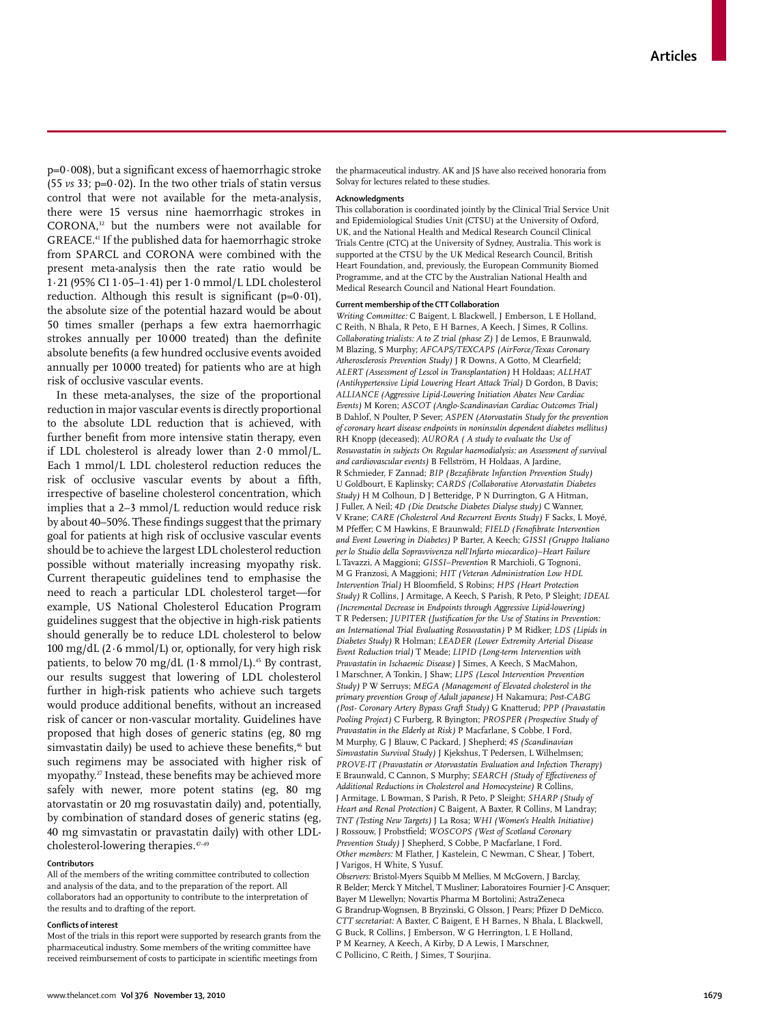$p=0.008$ ), but a significant excess of haemorrhagic stroke (55 *vs* 33; p=0·02). In the two other trials of statin versus control that were not available for the meta-analysis, there were 15 versus nine haemorrhagic strokes in CORONA,32 but the numbers were not available for GREACE.41 If the published data for haemorrhagic stroke from SPARCL and CORONA were combined with the present meta-analysis then the rate ratio would be 1·21 (95% CI 1·05–1·41) per 1·0 mmol/L LDL cholesterol reduction. Although this result is significant ( $p=0.01$ ), the absolute size of the potential hazard would be about 50 times smaller (perhaps a few extra haemorrhagic strokes annually per 10000 treated) than the definite absolute benefits (a few hundred occlusive events avoided annually per 10 000 treated) for patients who are at high risk of occlusive vascular events.

In these meta-analyses, the size of the proportional reduction in major vascular events is directly proportional to the absolute LDL reduction that is achieved, with further benefit from more intensive statin therapy, even if LDL cholesterol is already lower than 2·0 mmol/L. Each 1 mmol/L LDL cholesterol reduction reduces the risk of occlusive vascular events by about a fifth, irrespective of baseline cholesterol concentration, which implies that a 2–3 mmol/L reduction would reduce risk by about 40–50%. These findings suggest that the primary goal for patients at high risk of occlusive vascular events should be to achieve the largest LDL cholesterol reduction possible without materially increasing myopathy risk. Current therapeutic guidelines tend to emphasise the need to reach a particular LDL cholesterol target—for example, US National Cholesterol Education Program guidelines suggest that the objective in high-risk patients should generally be to reduce LDL cholesterol to below 100 mg/dL  $(2.6 \text{ mmol/L})$  or, optionally, for very high risk patients, to below 70 mg/dL (1.8 mmol/L).<sup>45</sup> By contrast, our results suggest that lowering of LDL cholesterol further in high-risk patients who achieve such targets would produce additional benefits, without an increased risk of cancer or non-vascular mortality. Guidelines have proposed that high doses of generic statins (eg, 80 mg simvastatin daily) be used to achieve these benefits,<sup>46</sup> but such regimens may be associated with higher risk of myopathy.<sup>27</sup> Instead, these benefits may be achieved more safely with newer, more potent statins (eg, 80 mg atorvastatin or 20 mg rosuvastatin daily) and, potentially, by combination of standard doses of generic statins (eg, 40 mg simvastatin or pravastatin daily) with other LDLcholesterol-lowering therapies.47–49

#### **Contributors**

All of the members of the writing committee contributed to collection and analysis of the data, and to the preparation of the report. All collaborators had an opportunity to contribute to the interpretation of the results and to drafting of the report.

#### **Conflicts of interest**

Most of the trials in this report were supported by research grants from the pharmaceutical industry. Some members of the writing committee have received reimbursement of costs to participate in scientific meetings from

the pharmaceutical industry. AK and JS have also received honoraria from Solvay for lectures related to these studies.

#### **Acknowledgments**

This collaboration is coordinated jointly by the Clinical Trial Service Unit and Epidemiological Studies Unit (CTSU) at the University of Oxford, UK, and the National Health and Medical Research Council Clinical Trials Centre (CTC) at the University of Sydney, Australia. This work is supported at the CTSU by the UK Medical Research Council, British Heart Foundation, and, previously, the European Community Biomed Programme, and at the CTC by the Australian National Health and Medical Research Council and National Heart Foundation.

#### **Current membership of the CTT Collaboration**

*Writing Committee:* C Baigent, L Blackwell, J Emberson, L E Holland, C Reith, N Bhala, R Peto, E H Barnes, A Keech, J Simes, R Collins. *Collaborating trialists: A to Z trial (phase Z)* J de Lemos, E Braunwald, M Blazing, S Murphy; *AFCAPS/TEXCAPS (AirForce/Texas Coronary* Atherosclerosis Prevention Study) J R Downs, A Gotto, M Clearfield; *ALERT (Assessment of Lescol in Transplantation)* H Holdaas; *ALLHAT (Antihypertensive Lipid Lowering Heart Attack Trial)* D Gordon, B Davis; *ALLIANCE (Aggressive Lipid-Lowering Initiation Abates New Cardiac Events)* M Koren; *ASCOT (Anglo-Scandinavian Cardiac Outcomes Trial)*  B Dahlof, N Poulter, P Sever; *ASPEN (Atorvastatin Study for the prevention of coronary heart disease endpoints in noninsulin dependent diabetes mellitus)*  RH Knopp (deceased); *AURORA ( A study to evaluate the Use of Rosuvastatin in subjects On Regular haemodialysis: an Assessment of survival and cardiovascular events)* B Fellström, H Holdaas, A Jardine, R Schmieder, F Zannad; *BIP (Bezafibrate Infarction Prevention Study)* U Goldbourt, E Kaplinsky; *CARDS (Collaborative Atorvastatin Diabetes Study)* H M Colhoun, D J Betteridge, P N Durrington, G A Hitman, J Fuller, A Neil; *4D (Die Deutsche Diabetes Dialyse study)* C Wanner, V Krane; *CARE (Cholesterol And Recurrent Events Study)* F Sacks, L Moyé, M Pfeff er; C M Hawkins, E Braunwald; *FIELD (Fenofi brate Intervention and Event Lowering in Diabetes)* P Barter, A Keech; *GISSI (Gruppo Italiano per lo Studio della Sopravvivenza nell'Infarto miocardico)–Heart Failure* L Tavazzi, A Maggioni; *GISSI–Prevention* R Marchioli, G Tognoni, M G Franzosi, A Maggioni; *HIT (Veteran Administration Low HDL Intervention Trial*)<sup>*H*</sup> Bloomfield, *S* Robins: *HPS (Heart Protection*) *Study)* R Collins, J Armitage, A Keech, S Parish, R Peto, P Sleight; *IDEAL (Incremental Decrease in Endpoints through Aggressive Lipid-lowering)* T R Pedersen; *JUPITER (Justification for the Use of Statins in Prevention: an International Trial Evaluating Rosuvastatin)* P M Ridker; *LDS (Lipids in Diabetes Study)* R Holman; *LEADER (Lower Extremity Arterial Disease Event Reduction trial)* T Meade; *LIPID (Long-term Intervention with Pravastatin in Ischaemic Disease)* J Simes, A Keech, S MacMahon, I Marschner, A Tonkin, J Shaw; *LIPS (Lescol Intervention Prevention Study)* P W Serruys; *MEGA (Management of Elevated cholesterol in the primary prevention Group of Adult japanese)* H Nakamura; *Post-CABG (Post- Coronary Artery Bypass Graft Study)* G Knatterud; *PPP (Pravastatin Pooling Project)* C Furberg, R Byington; *PROSPER (Prospective Study of Pravastatin in the Elderly at Risk)* P Macfarlane, S Cobbe, I Ford, M Murphy, G J Blauw, C Packard, J Shepherd; *4S (Scandinavian Simvastatin Survival Study)* J Kjekshus, T Pedersen, L Wilhelmsen; *PROVE-IT (Pravastatin or Atorvastatin Evaluation and Infection Therapy)*  E Braunwald, C Cannon, S Murphy; *SEARCH (Study of Effectiveness of Additional Reductions in Cholesterol and Homocysteine)* R Collins, J Armitage, L Bowman, S Parish, R Peto, P Sleight; *SHARP (Study of Heart and Renal Protection)* C Baigent, A Baxter, R Collins, M Landray; *TNT (Testing New Targets)* J La Rosa; *WHI (Women's Health Initiative)*  J Rossouw, J Probstfield; *WOSCOPS* (West of Scotland Coronary *Prevention Study)* J Shepherd, S Cobbe, P Macfarlane, I Ford. *Other members:* M Flather, J Kastelein, C Newman, C Shear, J Tobert, J Varigos, H White, S Yusuf. *Observers:* Bristol-Myers Squibb M Mellies, M McGovern, J Barclay,

R Belder; Merck Y Mitchel, T Musliner; Laboratoires Fournier J-C Ansquer; Bayer M Llewellyn; Novartis Pharma M Bortolini; AstraZeneca G Brandrup-Wognsen, B Bryzinski, G Olsson, J Pears; Pfizer D DeMicco. *CTT secretariat:* A Baxter, C Baigent, E H Barnes, N Bhala, L Blackwell, G Buck, R Collins, J Emberson, W G Herrington, L E Holland, P M Kearney, A Keech, A Kirby, D A Lewis, I Marschner, C Pollicino, C Reith, J Simes, T Sourjina.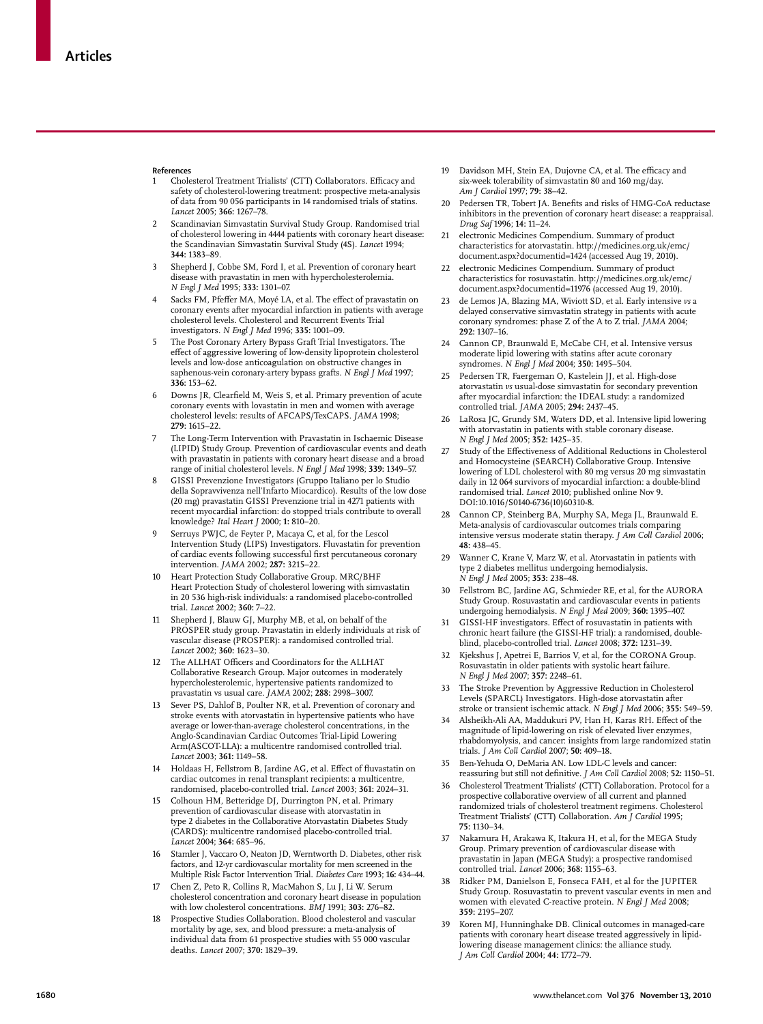#### **References**

- Cholesterol Treatment Trialists' (CTT) Collaborators. Efficacy and safety of cholesterol-lowering treatment: prospective meta-analysis of data from 90 056 participants in 14 randomised trials of statins. *Lancet* 2005; **366:** 1267–78.
- 2 Scandinavian Simvastatin Survival Study Group. Randomised trial of cholesterol lowering in 4444 patients with coronary heart disease: the Scandinavian Simvastatin Survival Study (4S). *Lancet* 1994; **344:** 1383–89.
- 3 Shepherd J, Cobbe SM, Ford I, et al. Prevention of coronary heart disease with pravastatin in men with hypercholesterolemia. *N Engl J Med* 1995; **333:** 1301–07.
- Sacks FM, Pfeffer MA, Moyé LA, et al. The effect of pravastatin on coronary events after myocardial infarction in patients with average cholesterol levels. Cholesterol and Recurrent Events Trial investigators. *N Engl J Med* 1996; **335:** 1001–09.
- 5 The Post Coronary Artery Bypass Graft Trial Investigators. The effect of aggressive lowering of low-density lipoprotein cholesterol levels and low-dose anticoagulation on obstructive changes in saphenous-vein coronary-artery bypass grafts. *N Engl J Med* 1997; **336:** 153–62.
- Downs JR, Clearfield M, Weis S, et al. Primary prevention of acute coronary events with lovastatin in men and women with average cholesterol levels: results of AFCAPS/TexCAPS. *JAMA* 1998; **279:** 1615–22.
- 7 The Long-Term Intervention with Pravastatin in Ischaemic Disease (LIPID) Study Group. Prevention of cardiovascular events and death with pravastatin in patients with coronary heart disease and a broad range of initial cholesterol levels. *N Engl J Med* 1998; **339:** 1349–57.
- 8 GISSI Prevenzione Investigators (Gruppo Italiano per lo Studio della Sopravvivenza nell'Infarto Miocardico). Results of the low dose (20 mg) pravastatin GISSI Prevenzione trial in 4271 patients with recent myocardial infarction: do stopped trials contribute to overall knowledge? *Ital Heart J* 2000; **1:** 810–20.
- 9 Serruys PWJC, de Feyter P, Macaya C, et al, for the Lescol Intervention Study (LIPS) Investigators. Fluvastatin for prevention of cardiac events following successful first percutaneous coronary intervention. *JAMA* 2002; **287:** 3215–22.
- 10 Heart Protection Study Collaborative Group. MRC/BHF Heart Protection Study of cholesterol lowering with simvastatin in 20 536 high-risk individuals: a randomised placebo-controlled trial. *Lancet* 2002; **360:** 7–22.
- 11 Shepherd J, Blauw GJ, Murphy MB, et al, on behalf of the PROSPER study group. Pravastatin in elderly individuals at risk of vascular disease (PROSPER): a randomised controlled trial. *Lancet* 2002; **360:** 1623–30.
- 12 The ALLHAT Officers and Coordinators for the ALLHAT Collaborative Research Group. Major outcomes in moderately hypercholesterolemic, hypertensive patients randomized to pravastatin vs usual care. *JAMA* 2002; **288:** 2998–3007.
- 13 Sever PS, Dahlof B, Poulter NR, et al. Prevention of coronary and stroke events with atorvastatin in hypertensive patients who have average or lower-than-average cholesterol concentrations, in the Anglo-Scandinavian Cardiac Outcomes Trial-Lipid Lowering Arm(ASCOT-LLA): a multicentre randomised controlled trial. *Lancet* 2003; **361:** 1149–58.
- 14 Holdaas H, Fellstrom B, Jardine AG, et al. Effect of fluvastatin on cardiac outcomes in renal transplant recipients: a multicentre, randomised, placebo-controlled trial. *Lancet* 2003; **361:** 2024–31.
- 15 Colhoun HM, Betteridge DJ, Durrington PN, et al. Primary prevention of cardiovascular disease with atorvastatin in type 2 diabetes in the Collaborative Atorvastatin Diabetes Study (CARDS): multicentre randomised placebo-controlled trial. *Lancet* 2004; **364:** 685–96.
- 16 Stamler J, Vaccaro O, Neaton JD, Werntworth D, Diabetes, other risk factors, and 12-yr cardiovascular mortality for men screened in the Multiple Risk Factor Intervention Trial. *Diabetes Care* 1993; **16:** 434–44.
- 17 Chen Z, Peto R, Collins R, MacMahon S, Lu J, Li W. Serum cholesterol concentration and coronary heart disease in population with low cholesterol concentrations. *BMJ* 1991; **303:** 276–82.
- 18 Prospective Studies Collaboration. Blood cholesterol and vascular mortality by age, sex, and blood pressure: a meta-analysis of individual data from 61 prospective studies with 55 000 vascular deaths. *Lancet* 2007; **370:** 1829–39.
- 19 Davidson MH, Stein EA, Dujovne CA, et al. The efficacy and six-week tolerability of simvastatin 80 and 160 mg/day. *Am J Cardiol* 1997; **79:** 38–42.
- 20 Pedersen TR, Tobert JA. Benefits and risks of HMG-CoA reductase inhibitors in the prevention of coronary heart disease: a reappraisal. *Drug Saf* 1996; **14:** 11–24.
- 21 electronic Medicines Compendium. Summary of product characteristics for atorvastatin. http://medicines.org.uk/emc/ document.aspx?documentid=1424 (accessed Aug 19, 2010).
- 22 electronic Medicines Compendium. Summary of product characteristics for rosuvastatin. http://medicines.org.uk/emc/ document.aspx?documentid=11976 (accessed Aug 19, 2010).
- 23 de Lemos JA, Blazing MA, Wiviott SD, et al. Early intensive *vs* a delayed conservative simvastatin strategy in patients with acute coronary syndromes: phase Z of the A to Z trial. *JAMA* 2004; **292:** 1307–16.
- 24 Cannon CP, Braunwald E, McCabe CH, et al. Intensive versus moderate lipid lowering with statins after acute coronary syndromes. *N Engl J Med* 2004; **350:** 1495–504.
- Pedersen TR, Faergeman O, Kastelein JJ, et al. High-dose atorvastatin *vs* usual-dose simvastatin for secondary prevention after myocardial infarction: the IDEAL study: a randomized controlled trial. *JAMA* 2005; **294:** 2437–45.
- 26 LaRosa JC, Grundy SM, Waters DD, et al. Intensive lipid lowering with atorvastatin in patients with stable coronary disease. *N Engl J Med* 2005; **352:** 1425–35.
- 27 Study of the Effectiveness of Additional Reductions in Cholesterol and Homocysteine (SEARCH) Collaborative Group. Intensive lowering of LDL cholesterol with 80 mg versus 20 mg simvastatin daily in 12 064 survivors of myocardial infarction: a double-blind randomised trial. *Lancet* 2010; published online Nov 9. DOI:10.1016/S0140-6736(10)60310-8.
- 28 Cannon CP, Steinberg BA, Murphy SA, Mega JL, Braunwald E. Meta-analysis of cardiovascular outcomes trials comparing intensive versus moderate statin therapy. *J Am Coll Cardiol* 2006; **48:** 438–45.
- 29 Wanner C, Krane V, Marz W, et al. Atorvastatin in patients with type 2 diabetes mellitus undergoing hemodialysis. *N Engl J Med* 2005; **353:** 238–48.
- 30 Fellstrom BC, Jardine AG, Schmieder RE, et al, for the AURORA Study Group. Rosuvastatin and cardiovascular events in patients undergoing hemodialysis. *N Engl J Med* 2009; **360:** 1395–407.
- 31 GISSI-HF investigators. Effect of rosuvastatin in patients with chronic heart failure (the GISSI-HF trial): a randomised, doubleblind, placebo-controlled trial. *Lancet* 2008; **372:** 1231–39.
- Kjekshus J, Apetrei E, Barrios V, et al, for the CORONA Group. Rosuvastatin in older patients with systolic heart failure. *N Engl J Med* 2007; **357:** 2248–61.
- 33 The Stroke Prevention by Aggressive Reduction in Cholesterol Levels (SPARCL) Investigators. High-dose atorvastatin after stroke or transient ischemic attack. *N Engl J Med* 2006; **355:** 549–59.
- Alsheikh-Ali AA, Maddukuri PV, Han H, Karas RH. Effect of the magnitude of lipid-lowering on risk of elevated liver enzymes, rhabdomyolysis, and cancer: insights from large randomized statin trials. *J Am Coll Cardiol* 2007; **50:** 409–18.
- 35 Ben-Yehuda O, DeMaria AN. Low LDL-C levels and cancer: reassuring but still not definitive. *J Am Coll Cardiol* 2008; 52: 1150-51.
- 36 Cholesterol Treatment Trialists' (CTT) Collaboration. Protocol for a prospective collaborative overview of all current and planned randomized trials of cholesterol treatment regimens. Cholesterol Treatment Trialists' (CTT) Collaboration. *Am J Cardiol* 1995; **75:** 1130–34.
- Nakamura H, Arakawa K, Itakura H, et al, for the MEGA Study Group. Primary prevention of cardiovascular disease with pravastatin in Japan (MEGA Study): a prospective randomised controlled trial. *Lancet* 2006; **368:** 1155–63.
- 38 Ridker PM, Danielson E, Fonseca FAH, et al for the JUPITER Study Group. Rosuvastatin to prevent vascular events in men and women with elevated C-reactive protein. *N Engl J Med* 2008; **359:** 2195–207.
- 39 Koren MJ, Hunninghake DB. Clinical outcomes in managed-care patients with coronary heart disease treated aggressively in lipidlowering disease management clinics: the alliance study. *J Am Coll Cardiol* 2004; **44:** 1772–79.